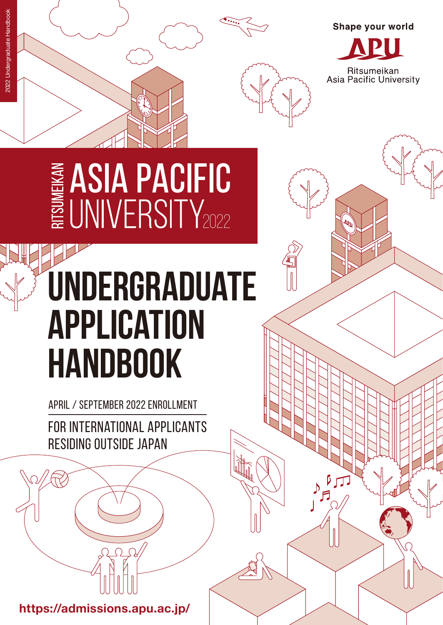



Shape your world

Ritsumeikan<br>Asia Pacific University

# E ASIA PACIFIC

## **UNDERGRADUATE APPLICATION HANDBOOK**

APRIL / SEPTEMBER 2022 ENROLLMENT

FOR INTERNATIONAL APPLICANTS RESIDING OUTSIDE JAPAN

**https://admissions.apu.ac.jp/**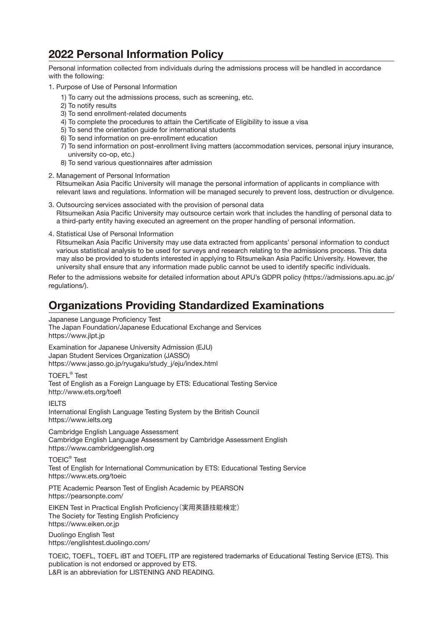#### **2022 Personal Information Policy**

Personal information collected from individuals during the admissions process will be handled in accordance with the following:

- 1. Purpose of Use of Personal Information
	- 1) To carry out the admissions process, such as screening, etc.
	- 2) To notify results
	- 3) To send enrollment-related documents
	- 4) To complete the procedures to attain the Certificate of Eligibility to issue a visa
	- 5) To send the orientation guide for international students
	- 6) To send information on pre-enrollment education
	- 7) To send information on post-enrollment living matters (accommodation services, personal injury insurance, university co-op, etc.)
	- 8) To send various questionnaires after admission
- 2. Management of Personal Information Ritsumeikan Asia Pacific University will manage the personal information of applicants in compliance with relevant laws and regulations. Information will be managed securely to prevent loss, destruction or divulgence.
- 3. Outsourcing services associated with the provision of personal data Ritsumeikan Asia Pacific University may outsource certain work that includes the handling of personal data to a third-party entity having executed an agreement on the proper handling of personal information.
- 4. Statistical Use of Personal Information

Ritsumeikan Asia Pacific University may use data extracted from applicants' personal information to conduct various statistical analysis to be used for surveys and research relating to the admissions process. This data may also be provided to students interested in applying to Ritsumeikan Asia Pacific University. However, the university shall ensure that any information made public cannot be used to identify specific individuals.

Refer to the admissions website for detailed information about APU's GDPR policy (https://admissions.apu.ac.jp/ regulations/).

#### **Organizations Providing Standardized Examinations**

Japanese Language Proficiency Test The Japan Foundation/Japanese Educational Exchange and Services https://www.jlpt.jp Examination for Japanese University Admission (EJU) Japan Student Services Organization (JASSO)

https://www.jasso.go.jp/ryugaku/study\_j/eju/index.html

TOEFL® Test Test of English as a Foreign Language by ETS: Educational Testing Service http://www.ets.org/toefl

IELTS International English Language Testing System by the British Council https://www.ielts.org

Cambridge English Language Assessment Cambridge English Language Assessment by Cambridge Assessment English https://www.cambridgeenglish.org

TOEIC® Test Test of English for International Communication by ETS: Educational Testing Service https://www.ets.org/toeic

PTE Academic Pearson Test of English Academic by PEARSON https://pearsonpte.com/

EIKEN Test in Practical English Proficiency(実用英語技能検定) The Society for Testing English Proficiency https://www.eiken.or.jp

Duolingo English Test https://englishtest.duolingo.com/

TOEIC, TOEFL, TOEFL iBT and TOEFL ITP are registered trademarks of Educational Testing Service (ETS). This publication is not endorsed or approved by ETS. L&R is an abbreviation for LISTENING AND READING.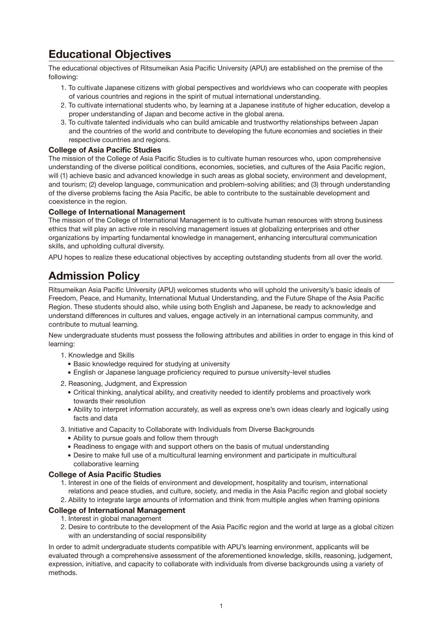#### **Educational Objectives**

The educational objectives of Ritsumeikan Asia Pacific University (APU) are established on the premise of the following:

- 1. To cultivate Japanese citizens with global perspectives and worldviews who can cooperate with peoples of various countries and regions in the spirit of mutual international understanding.
- 2. To cultivate international students who, by learning at a Japanese institute of higher education, develop a proper understanding of Japan and become active in the global arena.
- 3. To cultivate talented individuals who can build amicable and trustworthy relationships between Japan and the countries of the world and contribute to developing the future economies and societies in their respective countries and regions.

#### **College of Asia Pacific Studies**

The mission of the College of Asia Pacific Studies is to cultivate human resources who, upon comprehensive understanding of the diverse political conditions, economies, societies, and cultures of the Asia Pacific region, will (1) achieve basic and advanced knowledge in such areas as global society, environment and development, and tourism; (2) develop language, communication and problem-solving abilities; and (3) through understanding of the diverse problems facing the Asia Pacific, be able to contribute to the sustainable development and coexistence in the region.

#### **College of International Management**

The mission of the College of International Management is to cultivate human resources with strong business ethics that will play an active role in resolving management issues at globalizing enterprises and other organizations by imparting fundamental knowledge in management, enhancing intercultural communication skills, and upholding cultural diversity.

APU hopes to realize these educational objectives by accepting outstanding students from all over the world.

#### **Admission Policy**

Ritsumeikan Asia Pacific University (APU) welcomes students who will uphold the university's basic ideals of Freedom, Peace, and Humanity, International Mutual Understanding, and the Future Shape of the Asia Pacific Region. These students should also, while using both English and Japanese, be ready to acknowledge and understand differences in cultures and values, engage actively in an international campus community, and contribute to mutual learning.

New undergraduate students must possess the following attributes and abilities in order to engage in this kind of learning:

- 1. Knowledge and Skills
	- Basic knowledge required for studying at university
	- English or Japanese language proficiency required to pursue university-level studies
- 2. Reasoning, Judgment, and Expression
	- Critical thinking, analytical ability, and creativity needed to identify problems and proactively work towards their resolution
	- Ability to interpret information accurately, as well as express one's own ideas clearly and logically using facts and data
- 3. Initiative and Capacity to Collaborate with Individuals from Diverse Backgrounds
	- Ability to pursue goals and follow them through
	- Readiness to engage with and support others on the basis of mutual understanding
	- Desire to make full use of a multicultural learning environment and participate in multicultural collaborative learning

#### **College of Asia Pacific Studies**

- 1. Interest in one of the fields of environment and development, hospitality and tourism, international relations and peace studies, and culture, society, and media in the Asia Pacific region and global society
- 2. Ability to integrate large amounts of information and think from multiple angles when framing opinions

#### **College of International Management**

- 1. Interest in global management
- 2. Desire to contribute to the development of the Asia Pacific region and the world at large as a global citizen with an understanding of social responsibility

In order to admit undergraduate students compatible with APU's learning environment, applicants will be evaluated through a comprehensive assessment of the aforementioned knowledge, skills, reasoning, judgement, expression, initiative, and capacity to collaborate with individuals from diverse backgrounds using a variety of methods.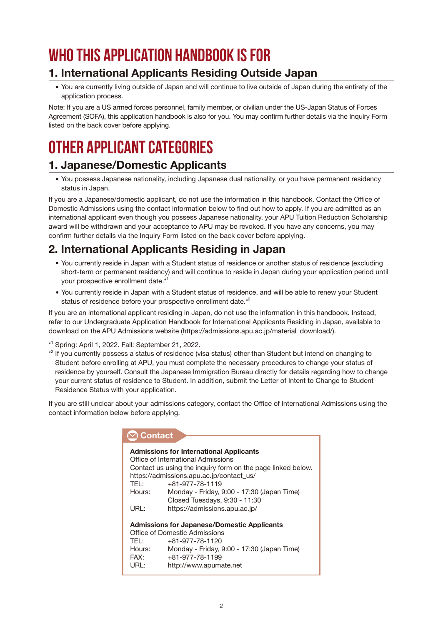## **Who this Application Handbook is for**

#### **1. International Applicants Residing Outside Japan**

You are currently living outside of Japan and will continue to live outside of Japan during the entirety of the application process.

Note: If you are a US armed forces personnel, family member, or civilian under the US-Japan Status of Forces Agreement (SOFA), this application handbook is also for you. You may confirm further details via the [Inquiry Form](http://r.apu.jp/contact_en) listed on the back cover before applying.

## **Other applicant categories**

#### **1. Japanese/Domestic Applicants**

You possess Japanese nationality, including Japanese dual nationality, or you have permanent residency status in Japan.

If you are a Japanese/domestic applicant, do not use the information in this handbook. Contact the Office of Domestic Admissions using the contact information below to find out how to apply. If you are admitted as an international applicant even though you possess Japanese nationality, your APU Tuition Reduction Scholarship award will be withdrawn and your acceptance to APU may be revoked. If you have any concerns, you may confirm further details via the [Inquiry Form](http://r.apu.jp/contact_en) listed on the back cover before applying.

#### **2. International Applicants Residing in Japan**

- You currently reside in Japan with a Student status of residence or another status of residence (excluding short-term or permanent residency) and will continue to reside in Japan during your application period until your prospective enrollment date.\*1
- You currently reside in Japan with a Student status of residence, and will be able to renew your Student status of residence before your prospective enrollment date.\*<sup>2</sup>

If you are an international applicant residing in Japan, do not use the information in this handbook. Instead, refer to our Undergraduate Application Handbook for International Applicants Residing in Japan, available to download on the APU Admissions website (https://admissions.apu.ac.jp/material\_download/).

\* 1 Spring: April 1, 2022. Fall: September 21, 2022.

\* <sup>2</sup> If you currently possess a status of residence (visa status) other than Student but intend on changing to Student before enrolling at APU, you must complete the necessary procedures to change your status of residence by yourself. Consult the Japanese Immigration Bureau directly for details regarding how to change your current status of residence to Student. In addition, submit the Letter of Intent to Change to Student Residence Status with your application.

If you are still unclear about your admissions category, contact the Office of International Admissions using the contact information below before applying.

| <b>Contact</b> |                                                             |  |  |
|----------------|-------------------------------------------------------------|--|--|
|                |                                                             |  |  |
|                | <b>Admissions for International Applicants</b>              |  |  |
|                | Office of International Admissions                          |  |  |
|                | Contact us using the inquiry form on the page linked below. |  |  |
|                | https://admissions.apu.ac.jp/contact_us/                    |  |  |
| TEL:           | $+81 - 977 - 78 - 1119$                                     |  |  |
| Hours:         | Monday - Friday, 9:00 - 17:30 (Japan Time)                  |  |  |
|                | Closed Tuesdays, 9:30 - 11:30                               |  |  |
| URL:           | https://admissions.apu.ac.jp/                               |  |  |
|                |                                                             |  |  |
|                | <b>Admissions for Japanese/Domestic Applicants</b>          |  |  |
|                | Office of Domestic Admissions                               |  |  |
| TEL:           | +81-977-78-1120                                             |  |  |
| Hours:         | Monday - Friday, 9:00 - 17:30 (Japan Time)                  |  |  |
| FAX:           | $+81 - 977 - 78 - 1199$                                     |  |  |
| URL:           | http://www.apumate.net                                      |  |  |
|                |                                                             |  |  |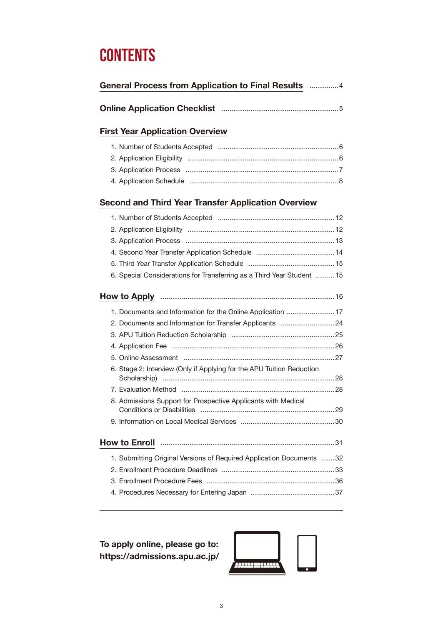## **Contents**

| <b>General Process from Application to Final Results</b> 4 |  |     |
|------------------------------------------------------------|--|-----|
|                                                            |  | - 5 |
| <b>First Year Application Overview</b>                     |  |     |

#### **[Second and Third Year Transfer Application Overview](#page-13-0)**

| 6. Special Considerations for Transferring as a Third Year Student  15 |  |
|------------------------------------------------------------------------|--|
|                                                                        |  |
| 1. Documents and Information for the Online Application  17            |  |
| 2. Documents and Information for Transfer Applicants  24               |  |
|                                                                        |  |
|                                                                        |  |
|                                                                        |  |
| 6. Stage 2: Interview (Only if Applying for the APU Tuition Reduction  |  |
|                                                                        |  |
| 8. Admissions Support for Prospective Applicants with Medical          |  |
|                                                                        |  |
|                                                                        |  |
| 1. Submitting Original Versions of Required Application Documents 32   |  |
|                                                                        |  |
|                                                                        |  |
|                                                                        |  |

**To apply online, please go to: https://admissions.apu.ac.jp/** 

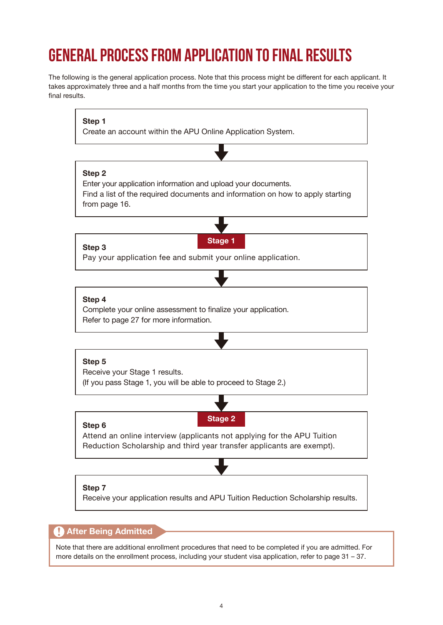## <span id="page-5-0"></span>**General Process from Application to Final Results**

The following is the general application process. Note that this process might be different for each applicant. It takes approximately three and a half months from the time you start your application to the time you receive your final results.



#### **After Being Admitted**

Note that there are additional enrollment procedures that need to be completed if you are admitted. For more details on the enrollment process, including your student visa application, refer to [page 31 – 37](#page-32-0).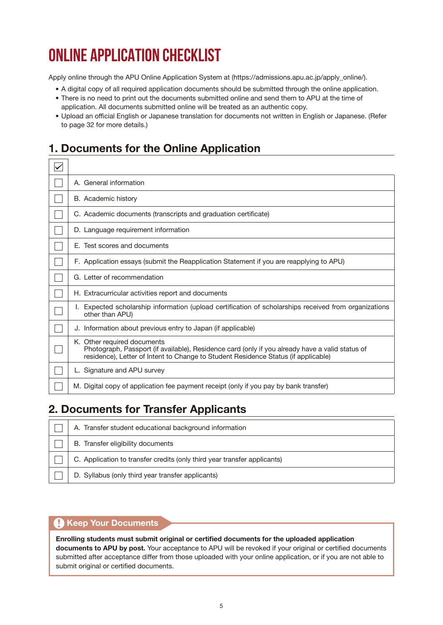## <span id="page-6-0"></span>**ONLINE APPLICATION CHECKLIST**

Apply online through the APU Online Application System at (https://admissions.apu.ac.jp/apply\_online/).

- A digital copy of all required application documents should be submitted through the online application.
- There is no need to print out the documents submitted online and send them to APU at the time of application. All documents submitted online will be treated as an authentic copy.
- Upload an official English or Japanese translation for documents not written in English or Japanese. (Refer to [page 32](#page-33-0) for more details.)

#### **1. Documents for the Online Application**

| A. General information                                                                                                                                                                                               |
|----------------------------------------------------------------------------------------------------------------------------------------------------------------------------------------------------------------------|
| B. Academic history                                                                                                                                                                                                  |
| C. Academic documents (transcripts and graduation certificate)                                                                                                                                                       |
| D. Language requirement information                                                                                                                                                                                  |
| E. Test scores and documents                                                                                                                                                                                         |
| F. Application essays (submit the Reapplication Statement if you are reapplying to APU)                                                                                                                              |
| G. Letter of recommendation                                                                                                                                                                                          |
| H. Extracurricular activities report and documents                                                                                                                                                                   |
| Expected scholarship information (upload certification of scholarships received from organizations<br>other than APU)                                                                                                |
| J. Information about previous entry to Japan (if applicable)                                                                                                                                                         |
| K. Other required documents<br>Photograph, Passport (if available), Residence card (only if you already have a valid status of<br>residence), Letter of Intent to Change to Student Residence Status (if applicable) |
| L. Signature and APU survey                                                                                                                                                                                          |
| M. Digital copy of application fee payment receipt (only if you pay by bank transfer)                                                                                                                                |

#### **2. Documents for Transfer Applicants**

| A. Transfer student educational background information                   |
|--------------------------------------------------------------------------|
| B. Transfer eligibility documents                                        |
| C. Application to transfer credits (only third year transfer applicants) |
| D. Syllabus (only third year transfer applicants)                        |

#### **A** Keep Your Documents

**Enrolling students must submit original or certified documents for the uploaded application documents to APU by post.** Your acceptance to APU will be revoked if your original or certified documents submitted after acceptance differ from those uploaded with your online application, or if you are not able to submit original or certified documents.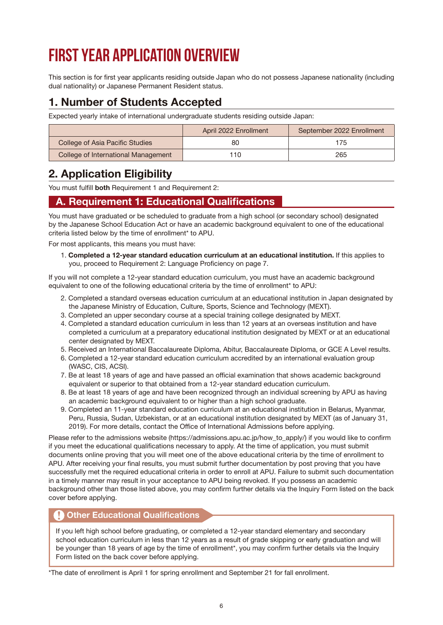## <span id="page-7-0"></span>**First Year Application Overview**

This section is for first year applicants residing outside Japan who do not possess Japanese nationality (including dual nationality) or Japanese Permanent Resident status.

#### **1. Number of Students Accepted**

Expected yearly intake of international undergraduate students residing outside Japan:

|                                     | April 2022 Enrollment | September 2022 Enrollment |
|-------------------------------------|-----------------------|---------------------------|
| College of Asia Pacific Studies     | 80                    | 175.                      |
| College of International Management | 110                   | 265                       |

#### **2. Application Eligibility**

You must fulfill **both** Requirement 1 and Requirement 2:

#### **A. Requirement 1: Educational Qualifications**

You must have graduated or be scheduled to graduate from a high school (or secondary school) designated by the Japanese School Education Act or have an academic background equivalent to one of the educational criteria listed below by the time of enrollment\* to APU.

For most applicants, this means you must have:

1. **Completed a 12-year standard education curriculum at an educational institution.** If this applies to you, proceed to Requirement 2: Language Proficiency on [page 7.](#page-8-0)

If you will not complete a 12-year standard education curriculum, you must have an academic background equivalent to one of the following educational criteria by the time of enrollment\* to APU:

- 2. Completed a standard overseas education curriculum at an educational institution in Japan designated by the Japanese Ministry of Education, Culture, Sports, Science and Technology (MEXT).
- 3. Completed an upper secondary course at a special training college designated by MEXT.
- 4. Completed a standard education curriculum in less than 12 years at an overseas institution and have completed a curriculum at a preparatory educational institution designated by MEXT or at an educational center designated by MEXT.
- 5. Received an International Baccalaureate Diploma, Abitur, Baccalaureate Diploma, or GCE A Level results.
- 6. Completed a 12-year standard education curriculum accredited by an international evaluation group (WASC, CIS, ACSI).
- 7. Be at least 18 years of age and have passed an official examination that shows academic background equivalent or superior to that obtained from a 12-year standard education curriculum.
- 8. Be at least 18 years of age and have been recognized through an individual screening by APU as having an academic background equivalent to or higher than a high school graduate.
- 9. Completed an 11-year standard education curriculum at an educational institution in Belarus, Myanmar, Peru, Russia, Sudan, Uzbekistan, or at an educational institution designated by MEXT (as of January 31, 2019). For more details, contact the Office of International Admissions before applying.

Please refer to the admissions website (https://admissions.apu.ac.jp/how\_to\_apply/) if you would like to confirm if you meet the educational qualifications necessary to apply. At the time of application, you must submit documents online proving that you will meet one of the above educational criteria by the time of enrollment to APU. After receiving your final results, you must submit further documentation by post proving that you have successfully met the required educational criteria in order to enroll at APU. Failure to submit such documentation in a timely manner may result in your acceptance to APU being revoked. If you possess an academic background other than those listed above, you may confirm further details via the [Inquiry Form](http://r.apu.jp/contact_en) listed on the back cover before applying.

#### **Other Educational Qualifications**

If you left high school before graduating, or completed a 12-year standard elementary and secondary school education curriculum in less than 12 years as a result of grade skipping or early graduation and will be younger than 18 years of age by the time of enrollment\*, you may confirm further details via the [Inquiry](http://r.apu.jp/contact_en)  [Form](http://r.apu.jp/contact_en) listed on the back cover before applying.

\*The date of enrollment is April 1 for spring enrollment and September 21 for fall enrollment.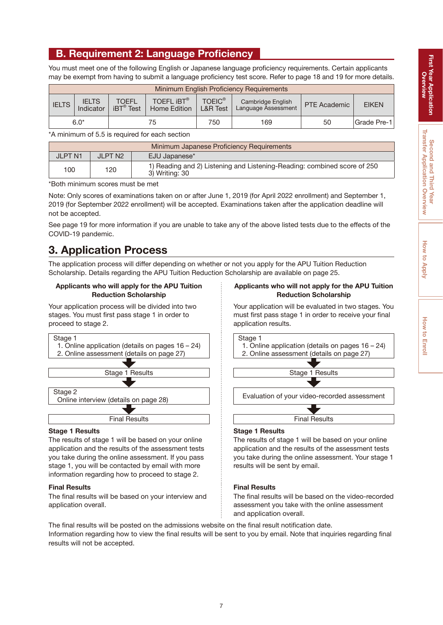#### <span id="page-8-0"></span>**B. Requirement 2: Language Proficiency**

You must meet one of the following English or Japanese language proficiency requirements. Certain applicants may be exempt from having to submit a language proficiency test score. Refer to [page 18 and 19](#page-19-0) for more details.

| Minimum English Proficiency Requirements |                           |                                          |                                   |                                      |                                          |              |              |
|------------------------------------------|---------------------------|------------------------------------------|-----------------------------------|--------------------------------------|------------------------------------------|--------------|--------------|
| <b>IELTS</b>                             | <b>IELTS</b><br>Indicator | <b>TOEFL</b><br>$iBT^{\circledast}$ Test | TOEFL <b>IBT®</b><br>Home Edition | <b>TOEIC®</b><br><b>L&amp;R Test</b> | Cambridge English<br>Language Assessment | PTE Academic | <b>EIKEN</b> |
|                                          | $6.0*$                    | 75                                       |                                   | 750                                  | 169                                      | 50           | Grade Pre-1  |

\*A minimum of 5.5 is required for each section

|                | Minimum Japanese Proficiency Requirements |                                                                                            |  |  |
|----------------|-------------------------------------------|--------------------------------------------------------------------------------------------|--|--|
| <b>JLPT N1</b> | JI PT N2                                  | EJU Japanese*                                                                              |  |  |
| 100            | 120                                       | 1) Reading and 2) Listening and Listening-Reading: combined score of 250<br>3) Writina: 30 |  |  |

\*Both minimum scores must be met

Note: Only scores of examinations taken on or after June 1, 2019 (for April 2022 enrollment) and September 1, 2019 (for September 2022 enrollment) will be accepted. Examinations taken after the application deadline will not be accepted.

See [page 19](#page-20-0) for more information if you are unable to take any of the above listed tests due to the effects of the COVID-19 pandemic.

#### **3. Application Process**

The application process will differ depending on whether or not you apply for the APU Tuition Reduction Scholarship. Details regarding the APU Tuition Reduction Scholarship are available on [page 25.](#page-26-0)

#### **Applicants who will apply for the APU Tuition Reduction Scholarship**

Your application process will be divided into two stages. You must first pass stage 1 in order to proceed to stage 2.



#### **Stage 1 Results**

The results of stage 1 will be based on your online application and the results of the assessment tests you take during the online assessment. If you pass stage 1, you will be contacted by email with more information regarding how to proceed to stage 2.

#### **Final Results**

The final results will be based on your interview and application overall.

#### **Applicants who will not apply for the APU Tuition Reduction Scholarship**

Your application will be evaluated in two stages. You must first pass stage 1 in order to receive your final application results.



#### **Stage 1 Results**

The results of stage 1 will be based on your online application and the results of the assessment tests you take during the online assessment. Your stage 1 results will be sent by email.

#### **Final Results**

The final results will be based on the video-recorded assessment you take with the online assessment and application overall.

The final results will be posted on the admissions website on the final result notification date. Information regarding how to view the final results will be sent to you by email. Note that inquiries regarding final results will not be accepted.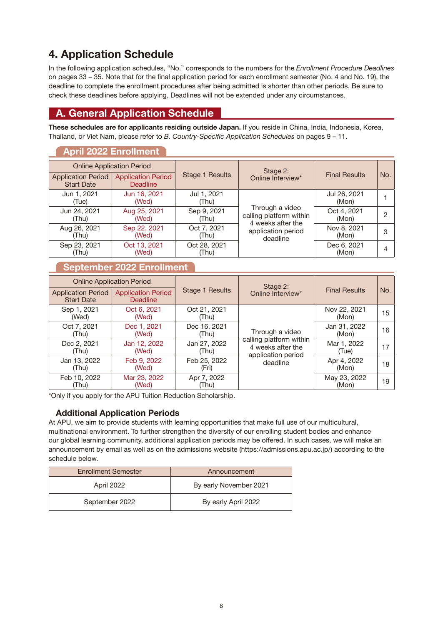#### <span id="page-9-0"></span>**4. Application Schedule**

In the following application schedules, "No." corresponds to the numbers for the *Enrollment Procedure Deadlines*  on [pages 33 –](#page-34-0) 35. Note that for the final application period for each enrollment semester (No. 4 and No. 19), the deadline to complete the enrollment procedures after being admitted is shorter than other periods. Be sure to check these deadlines before applying. Deadlines will not be extended under any circumstances.

#### **A. General Application Schedule**

**These schedules are for applicants residing outside Japan.** If you reside in China, India, Indonesia, Korea, Thailand, or Viet Nam, please refer to *B. Country-Specific Application Schedules* on [pages 9](#page-10-0) – 11.

#### **April 2022 Enrollment**

|                                                | <b>Online Application Period</b>             |                        | Stage 2:                                                        |                       |     |
|------------------------------------------------|----------------------------------------------|------------------------|-----------------------------------------------------------------|-----------------------|-----|
| <b>Application Period</b><br><b>Start Date</b> | <b>Application Period</b><br><b>Deadline</b> | <b>Stage 1 Results</b> | Online Interview*                                               | <b>Final Results</b>  | No. |
| Jun 1, 2021<br>(Tue)                           | Jun 16, 2021<br>(Wed)                        | Jul 1, 2021<br>(Thu)   |                                                                 | Jul 26, 2021<br>(Mon) |     |
| Jun 24, 2021<br>(Thu)                          | Aug 25, 2021<br>(Wed)                        | Sep 9, 2021<br>(Thu)   | Through a video<br>calling platform within<br>4 weeks after the | Oct 4, 2021<br>(Mon)  | 2   |
| Aug 26, 2021<br>(Thu)                          | Sep 22, 2021<br>(Wed)                        | Oct 7, 2021<br>(Thu)   | application period<br>deadline                                  | Nov 8, 2021<br>(Mon)  | 3   |
| Sep 23, 2021<br>(Thu)                          | Oct 13, 2021<br>(Wed)                        | Oct 28, 2021<br>(Thu)  |                                                                 | Dec 6, 2021<br>(Mon)  | 4   |

#### **September 2022 Enrollment**

|                                                | <b>Online Application Period</b>             |                        | Stage 2:                                                           |                       |     |
|------------------------------------------------|----------------------------------------------|------------------------|--------------------------------------------------------------------|-----------------------|-----|
| <b>Application Period</b><br><b>Start Date</b> | <b>Application Period</b><br><b>Deadline</b> | <b>Stage 1 Results</b> | Online Interview*                                                  | <b>Final Results</b>  | No. |
| Sep 1, 2021<br>(Wed)                           | Oct 6, 2021<br>(Wed)                         | Oct 21, 2021<br>(Thu)  |                                                                    | Nov 22, 2021<br>(Mon) | 15  |
| Oct 7, 2021<br>(Thu)                           | Dec 1, 2021<br>(Wed)                         | Dec 16, 2021<br>(Thu)  | Through a video                                                    | Jan 31, 2022<br>(Mon) | 16  |
| Dec 2, 2021<br>(Thu)                           | Jan 12, 2022<br>(Wed)                        | Jan 27, 2022<br>(Thu)  | calling platform within<br>4 weeks after the<br>application period | Mar 1, 2022<br>(Tue)  | 17  |
| Jan 13, 2022<br>(Thu)                          | Feb 9, 2022<br>(Wed)                         | Feb 25, 2022<br>(Fri)  | deadline                                                           | Apr 4, 2022<br>(Mon)  | 18  |
| Feb 10, 2022<br>(Thu)                          | Mar 23, 2022<br>(Wed)                        | Apr 7, 2022<br>(Thu)   |                                                                    | May 23, 2022<br>(Mon) | 19  |

\*Only if you apply for the APU Tuition Reduction Scholarship.

#### **Additional Application Periods**

At APU, we aim to provide students with learning opportunities that make full use of our multicultural, multinational environment. To further strengthen the diversity of our enrolling student bodies and enhance our global learning community, additional application periods may be offered. In such cases, we will make an announcement by email as well as on the admissions website (https://admissions.apu.ac.jp/) according to the schedule below.

| <b>Enrollment Semester</b> |                | Announcement           |
|----------------------------|----------------|------------------------|
| April 2022                 |                | By early November 2021 |
|                            | September 2022 | By early April 2022    |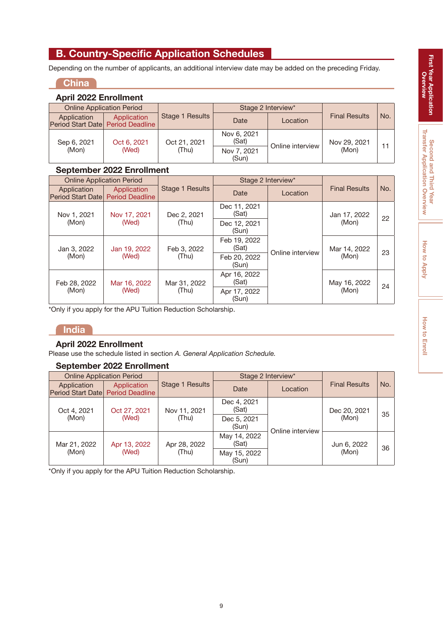#### <span id="page-10-0"></span>**B. Country-Specific Application Schedules**

Depending on the number of applicants, an additional interview date may be added on the preceding Friday.

#### **China**

#### **April 2022 Enrollment**

|                                                  | <b>Online Application Period</b> |                        | Stage 2 Interview*   |                  |                      |     |
|--------------------------------------------------|----------------------------------|------------------------|----------------------|------------------|----------------------|-----|
| Application<br>Period Start Date Period Deadline | Application                      | <b>Stage 1 Results</b> | Date                 | Location         | <b>Final Results</b> | No. |
| Sep 6, 2021                                      | Oct 6, 2021                      | Oct 21, 2021           | Nov 6, 2021<br>(Sat) | Online interview | Nov 29, 2021         | 11  |
| (Mon)                                            | (Wed)                            | (Thu)                  | Nov 7, 2021<br>(Sun) |                  | (Mon)                |     |

#### **September 2022 Enrollment**

|                                                   | <b>Online Application Period</b> |                       |                       | Stage 2 Interview* |                       |     |
|---------------------------------------------------|----------------------------------|-----------------------|-----------------------|--------------------|-----------------------|-----|
| Application<br>Period Start Datel Period Deadline | Application                      | Stage 1 Results       | Date                  | Location           | <b>Final Results</b>  | No. |
| Nov 1, 2021<br>Nov 17, 2021                       |                                  | Dec 2, 2021           | Dec 11, 2021<br>(Sat) |                    | Jan 17, 2022<br>(Mon) | 22  |
| (Mon)<br>(Wed)                                    | (Thu)                            | Dec 12, 2021<br>(Sun) |                       |                    |                       |     |
| Jan 3, 2022<br>(Mon)                              | Jan 19, 2022                     | Feb 3, 2022<br>(Thu)  | Feb 19, 2022<br>(Sat) | Online interview   | Mar 14, 2022<br>(Mon) | 23  |
|                                                   | (Wed)                            |                       | Feb 20, 2022<br>(Sun) |                    |                       |     |
| Feb 28, 2022<br>(Mon)                             | Mar 16, 2022<br>(Wed)            | Mar 31, 2022<br>(Thu) | Apr 16, 2022<br>(Sat) |                    | May 16, 2022<br>(Mon) | 24  |
|                                                   |                                  |                       | Apr 17, 2022<br>(Sun) |                    |                       |     |

\*Only if you apply for the APU Tuition Reduction Scholarship.

#### **India**

#### **April 2022 Enrollment**

Please use the schedule listed in section *A. General Application Schedule.*

#### **September 2022 Enrollment**

|                                                   | <b>Online Application Period</b> |                 |                       | Stage 2 Interview* |                      |     |
|---------------------------------------------------|----------------------------------|-----------------|-----------------------|--------------------|----------------------|-----|
| Application<br>Period Start Datel Period Deadline | Application                      | Stage 1 Results | Date                  | Location           | <b>Final Results</b> | No. |
| Oct 4, 2021                                       | Oct 27, 2021<br>Nov 11, 2021     |                 | Dec 4, 2021<br>(Sat)  |                    | Dec 20, 2021         | 35  |
| (Mon)                                             | (Wed)                            | (Thu)           | Dec 5, 2021<br>(Sun)  | Online interview   | (Mon)                |     |
| Mar 21, 2022                                      | Apr 13, 2022                     | Apr 28, 2022    | May 14, 2022<br>(Sat) |                    | Jun 6, 2022          | 36  |
| (Mon)                                             | (Wed)                            | (Thu)           | May 15, 2022<br>(Sun) |                    | (Mon)                |     |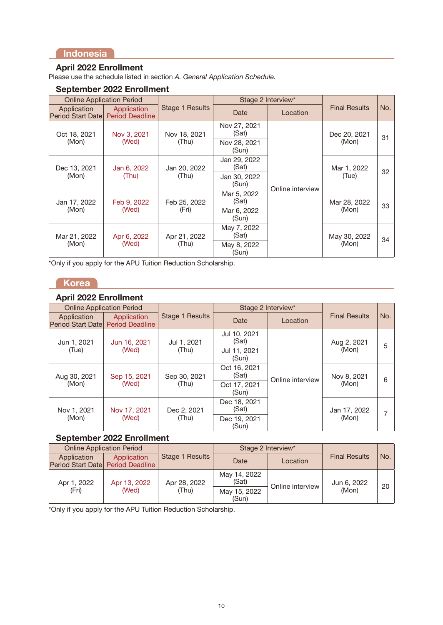#### **Indonesia**

#### **April 2022 Enrollment**

Please use the schedule listed in section *A. General Application Schedule.*

#### **September 2022 Enrollment**

|                                  | <b>Online Application Period</b>      |                       |                       | Stage 2 Interview* |                       |     |
|----------------------------------|---------------------------------------|-----------------------|-----------------------|--------------------|-----------------------|-----|
| Application<br>Period Start Date | Application<br><b>Period Deadline</b> | Stage 1 Results       | Date                  | Location           | <b>Final Results</b>  | No. |
| Oct 18, 2021                     | Nov 3, 2021                           | Nov 18, 2021          | Nov 27, 2021<br>(Sat) |                    | Dec 20, 2021          | 31  |
| (Mon)                            | (Wed)                                 | (Thu)                 | Nov 28, 2021<br>(Sun) |                    | (Mon)                 |     |
| Dec 13, 2021<br>(Mon)            | Jan 6, 2022                           | Jan 20, 2022          | Jan 29, 2022<br>(Sat) |                    | Mar 1, 2022           | 32  |
|                                  | (Thu)                                 | (Thu)                 | Jan 30, 2022<br>(Sun) |                    | (Tue)                 |     |
| Jan 17, 2022                     | Feb 9, 2022                           | Feb 25, 2022<br>(Fri) | Mar 5, 2022<br>(Sat)  | Online interview   | Mar 28, 2022<br>(Mon) | 33  |
| (Mon)                            | (Wed)                                 |                       | Mar 6, 2022<br>(Sun)  |                    |                       |     |
| Mar 21, 2022<br>(Mon)            | Apr 6, 2022                           | Apr 21, 2022          | May 7, 2022<br>(Sat)  |                    | May 30, 2022          | 34  |
|                                  | (Wed)                                 | (Thu)                 | May 8, 2022<br>(Sun)  |                    | (Mon)                 |     |

\*Only if you apply for the APU Tuition Reduction Scholarship.

#### **Korea**

#### **April 2022 Enrollment**

|                                         | <b>Online Application Period</b>      |                      |                       | Stage 2 Interview* |                       |     |
|-----------------------------------------|---------------------------------------|----------------------|-----------------------|--------------------|-----------------------|-----|
| Application<br><b>Period Start Date</b> | Application<br><b>Period Deadline</b> | Stage 1 Results      | Date                  | Location           | <b>Final Results</b>  | No. |
| Jun 1, 2021                             | Jun 16, 2021                          | Jul 1, 2021          | Jul 10, 2021<br>(Sat) |                    | Aug 2, 2021<br>(Mon)  | 5   |
| (Wed)<br>(Tue)                          |                                       | (Thu)                | Jul 11, 2021<br>(Sun) | Online interview   |                       |     |
| Aug 30, 2021<br>(Mon)                   | Sep 15, 2021                          | Sep 30, 2021         | Oct 16, 2021<br>(Sat) |                    | Nov 8, 2021           | 6   |
|                                         | (Wed)                                 | (Thu)                | Oct 17, 2021<br>(Sun) |                    | (Mon)                 |     |
| Nov 1, 2021<br>(Mon)                    | Nov 17, 2021<br>(Wed)                 | Dec 2, 2021<br>(Thu) | Dec 18, 2021<br>(Sat) |                    | Jan 17, 2022<br>(Mon) |     |
|                                         |                                       |                      | Dec 19, 2021<br>(Sun) |                    |                       |     |

#### **September 2022 Enrollment**

| <b>Online Application Period</b>                 |              |                 | Stage 2 Interview*    |                  |                      |                 |
|--------------------------------------------------|--------------|-----------------|-----------------------|------------------|----------------------|-----------------|
| Application<br>Period Start Date Period Deadline | Application  | Stage 1 Results | Date                  | Location         | <b>Final Results</b> | No.             |
| Apr 1, 2022<br>(Fri)                             | Apr 13, 2022 | Apr 28, 2022    | May 14, 2022<br>(Sat) | Online interview | Jun 6, 2022<br>(Mon) | 20 <sup>1</sup> |
|                                                  | (Wed)        | (Thu)           | May 15, 2022<br>(Sun) |                  |                      |                 |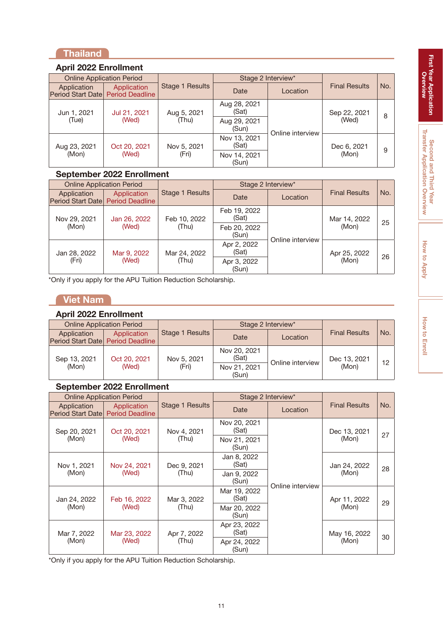#### **Thailand**

#### **April 2022 Enrollment**

| <b>Online Application Period</b>                  |              |                 | Stage 2 Interview*    |                  |                      |     |
|---------------------------------------------------|--------------|-----------------|-----------------------|------------------|----------------------|-----|
| Application<br>Period Start Datel Period Deadline | Application  | Stage 1 Results | Date                  | Location         | <b>Final Results</b> | No. |
| Jun 1, 2021                                       | Jul 21, 2021 | Aug 5, 2021     | Aug 28, 2021<br>(Sat) |                  | Sep 22, 2021         |     |
| (Tue)                                             | (Wed)        | (Thu)           | Aug 29, 2021<br>(Sun) | Online interview | (Wed)                | 8   |
| Aug 23, 2021                                      | Oct 20, 2021 | Nov 5, 2021     | Nov 13, 2021<br>(Sat) |                  | Dec 6, 2021          | 9   |
| (Mon)                                             | (Wed)        | (Fri)           | Nov 14, 2021<br>(Sun) |                  | (Mon)                |     |

#### **September 2022 Enrollment**

| <b>Online Application Period</b>                  |             | Stage 2 Interview* |                       |                  |                      |     |
|---------------------------------------------------|-------------|--------------------|-----------------------|------------------|----------------------|-----|
| Application<br>Period Start Datel Period Deadline | Application | Stage 1 Results    | Date                  | Location         | <b>Final Results</b> | No. |
| Nov 29, 2021<br>Jan 26, 2022                      |             | Feb 10, 2022       | Feb 19, 2022<br>(Sat) |                  | Mar 14, 2022         |     |
| (Mon)                                             | (Wed)       | (Thu)              | Feb 20, 2022<br>(Sun) | Online interview | (Mon)                | 25  |
| Jan 28, 2022<br>(Fri)                             | Mar 9, 2022 | Mar 24, 2022       | Apr 2, 2022<br>(Sat)  |                  | Apr 25, 2022         |     |
|                                                   | (Wed)       | (Thu)              | Apr 3, 2022<br>(Sun)  |                  | (Mon)                | 26  |

\*Only if you apply for the APU Tuition Reduction Scholarship.

#### **Viet Nam**

#### **April 2022 Enrollment**

| <b>Online Application Period</b>                 |                       |                      | Stage 2 Interview*                             |                  |                       |                 |
|--------------------------------------------------|-----------------------|----------------------|------------------------------------------------|------------------|-----------------------|-----------------|
| Application<br>Period Start Date Period Deadline | Application           | Stage 1 Results      | Date                                           | Location         | <b>Final Results</b>  | No.             |
| Sep 13, 2021<br>(Mon)                            | Oct 20, 2021<br>(Wed) | Nov 5, 2021<br>(Fri) | Nov 20, 2021<br>(Sat)<br>Nov 21, 2021<br>(Sun) | Online interview | Dec 13, 2021<br>(Mon) | 12 <sup>7</sup> |

#### **September 2022 Enrollment**

|                                  | <b>Online Application Period</b>      |                      |                       | Stage 2 Interview* |                       |     |
|----------------------------------|---------------------------------------|----------------------|-----------------------|--------------------|-----------------------|-----|
| Application<br>Period Start Date | Application<br><b>Period Deadline</b> | Stage 1 Results      | Date                  | Location           | <b>Final Results</b>  | No. |
| Sep 20, 2021                     | Oct 20, 2021                          | Nov 4, 2021          | Nov 20, 2021<br>(Sat) |                    | Dec 13, 2021          | 27  |
| (Mon)                            | (Wed)                                 | (Thu)                | Nov 21, 2021<br>(Sun) |                    | (Mon)                 |     |
| Nov 1, 2021<br>(Mon)             | Nov 24, 2021<br>(Wed)                 | Dec 9, 2021<br>(Thu) | Jan 8, 2022<br>(Sat)  | Online interview   | Jan 24, 2022<br>(Mon) | 28  |
|                                  |                                       |                      | Jan 9, 2022<br>(Sun)  |                    |                       |     |
| Jan 24, 2022                     | Feb 16, 2022                          | Mar 3, 2022<br>(Thu) | Mar 19, 2022<br>(Sat) |                    | Apr 11, 2022<br>(Mon) |     |
| (Mon)                            | (Wed)                                 |                      | Mar 20, 2022<br>(Sun) |                    |                       | 29  |
| Mar 7, 2022<br>(Mon)             | Mar 23, 2022                          | Apr 7, 2022          | Apr 23, 2022<br>(Sat) |                    | May 16, 2022          | 30  |
|                                  | (Wed)                                 | (Thu)                | Apr 24, 2022<br>(Sun) |                    | (Mon)                 |     |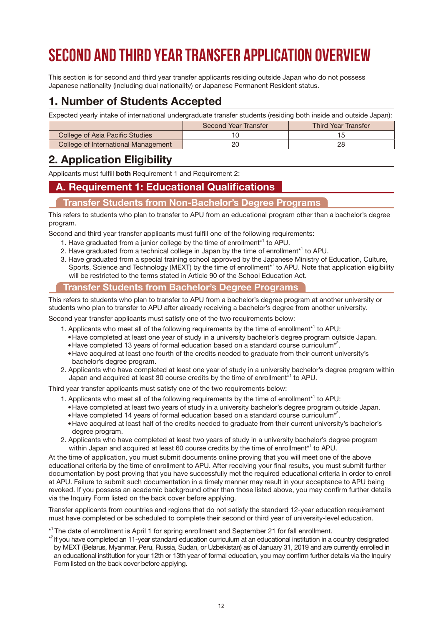## <span id="page-13-0"></span>**Second and Third Year Transfer Application Overview**

This section is for second and third year transfer applicants residing outside Japan who do not possess Japanese nationality (including dual nationality) or Japanese Permanent Resident status.

#### **1. Number of Students Accepted**

Expected yearly intake of international undergraduate transfer students (residing both inside and outside Japan):

|                                     | Second Year Transfer | <b>Third Year Transfer</b> |
|-------------------------------------|----------------------|----------------------------|
| College of Asia Pacific Studies     |                      |                            |
| College of International Management | 20                   | 28                         |

#### **2. Application Eligibility**

Applicants must fulfill **both** Requirement 1 and Requirement 2:

#### **A. Requirement 1: Educational Qualifications**

#### **Transfer Students from Non-Bachelor's Degree Programs**

This refers to students who plan to transfer to APU from an educational program other than a bachelor's degree program.

Second and third year transfer applicants must fulfill one of the following requirements:

- 1. Have graduated from a junior college by the time of enrollment<sup>\*1</sup> to APU.
- 2. Have graduated from a technical college in Japan by the time of enrollment<sup>\*1</sup> to APU.
- 3. Have graduated from a special training school approved by the Japanese Ministry of Education, Culture, Sports, Science and Technology (MEXT) by the time of enrollment<sup>\*1</sup> to APU. Note that application eligibility will be restricted to the terms stated in Article 90 of the School Education Act.

#### **Transfer Students from Bachelor's Degree Programs**

This refers to students who plan to transfer to APU from a bachelor's degree program at another university or students who plan to transfer to APU after already receiving a bachelor's degree from another university.

Second year transfer applicants must satisfy one of the two requirements below:

- 1. Applicants who meet all of the following requirements by the time of enrollment<sup>\*1</sup> to APU:
	- Have completed at least one year of study in a university bachelor's degree program outside Japan.
	- Have completed 13 years of formal education based on a standard course curriculum<sup>\*2</sup>.
	- Have acquired at least one fourth of the credits needed to graduate from their current university's bachelor's degree program.
- 2. Applicants who have completed at least one year of study in a university bachelor's degree program within Japan and acquired at least 30 course credits by the time of enrollment $^{\ast}{}^{\scriptscriptstyle\uparrow}$  to APU.

Third year transfer applicants must satisfy one of the two requirements below:

- 1. Applicants who meet all of the following requirements by the time of enrollment<sup>\*1</sup> to APU:
	- Have completed at least two years of study in a university bachelor's degree program outside Japan.
	- Have completed 14 years of formal education based on a standard course curriculum<sup>\*2</sup>.
	- Have acquired at least half of the credits needed to graduate from their current university's bachelor's degree program.
- 2. Applicants who have completed at least two years of study in a university bachelor's degree program within Japan and acquired at least 60 course credits by the time of enrollment\*<sup>1</sup> to APU.

At the time of application, you must submit documents online proving that you will meet one of the above educational criteria by the time of enrollment to APU. After receiving your final results, you must submit further documentation by post proving that you have successfully met the required educational criteria in order to enroll at APU. Failure to submit such documentation in a timely manner may result in your acceptance to APU being revoked. If you possess an academic background other than those listed above, you may confirm further details via the [Inquiry Form](http://r.apu.jp/contact_en) listed on the back cover before applying.

Transfer applicants from countries and regions that do not satisfy the standard 12-year education requirement must have completed or be scheduled to complete their second or third year of university-level education.

\* 1 The date of enrollment is April 1 for spring enrollment and September 21 for fall enrollment.

\* 2 If you have completed an 11-year standard education curriculum at an educational institution in a country designated by MEXT (Belarus, Myanmar, Peru, Russia, Sudan, or Uzbekistan) as of January 31, 2019 and are currently enrolled in an educational institution for your 12th or 13th year of formal education, you may confirm further details via the [Inquiry](http://r.apu.jp/contact_en)  [Form](http://r.apu.jp/contact_en) listed on the back cover before applying.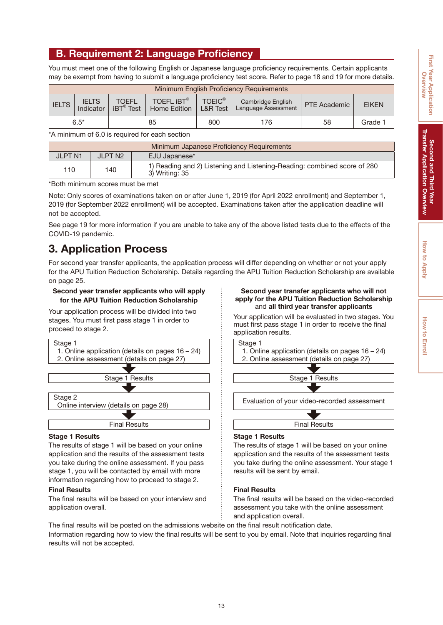#### <span id="page-14-0"></span>**B. Requirement 2: Language Proficiency**

You must meet one of the following English or Japanese language proficiency requirements. Certain applicants may be exempt from having to submit a language proficiency test score. Refer to [page 18 and 19](#page-19-0) for more details.

|                                  | Minimum English Proficiency Requirements |                                          |                                   |                                      |                                                 |                     |              |  |
|----------------------------------|------------------------------------------|------------------------------------------|-----------------------------------|--------------------------------------|-------------------------------------------------|---------------------|--------------|--|
| <b>IELTS</b>                     | <b>IELTS</b><br>Indicator                | <b>TOEFL</b><br>$iBT^{\circledast}$ Test | TOEFL <b>IBT®</b><br>Home Edition | <b>TOEIC®</b><br><b>L&amp;R</b> Test | Cambridge English<br><b>Language Assessment</b> | <b>PTE Academic</b> | <b>EIKEN</b> |  |
| $6.5*$<br>58<br>85<br>800<br>176 |                                          |                                          |                                   |                                      |                                                 | Grade 1             |              |  |

\*A minimum of 6.0 is required for each section

|                | Minimum Japanese Proficiency Requirements |                                                                                            |  |  |
|----------------|-------------------------------------------|--------------------------------------------------------------------------------------------|--|--|
| <b>JLPT N1</b> | JI PT N2                                  | EJU Japanese*                                                                              |  |  |
| 110            | 140                                       | 1) Reading and 2) Listening and Listening-Reading: combined score of 280<br>3) Writing: 35 |  |  |

\*Both minimum scores must be met

Note: Only scores of examinations taken on or after June 1, 2019 (for April 2022 enrollment) and September 1, 2019 (for September 2022 enrollment) will be accepted. Examinations taken after the application deadline will not be accepted.

See [page 19](#page-20-0) for more information if you are unable to take any of the above listed tests due to the effects of the COVID-19 pandemic.

#### **3. Application Process**

For second year transfer applicants, the application process will differ depending on whether or not your apply for the APU Tuition Reduction Scholarship. Details regarding the APU Tuition Reduction Scholarship are available on [page 25.](#page-26-0)

#### **Second year transfer applicants who will apply for the APU Tuition Reduction Scholarship**

Your application process will be divided into two stages. You must first pass stage 1 in order to proceed to stage 2.



#### **Stage 1 Results**

The results of stage 1 will be based on your online application and the results of the assessment tests you take during the online assessment. If you pass stage 1, you will be contacted by email with more information regarding how to proceed to stage 2.

#### **Final Results**

The final results will be based on your interview and application overall.

#### **Second year transfer applicants who will not apply for the APU Tuition Reduction Scholarship** and **all third year transfer applicants**

Your application will be evaluated in two stages. You must first pass stage 1 in order to receive the final application results.



#### **Stage 1 Results**

The results of stage 1 will be based on your online application and the results of the assessment tests you take during the online assessment. Your stage 1 results will be sent by email.

Final Results

#### **Final Results**

The final results will be based on the video-recorded assessment you take with the online assessment and application overall.

The final results will be posted on the admissions website on the final result notification date. Information regarding how to view the final results will be sent to you by email. Note that inquiries regarding final results will not be accepted.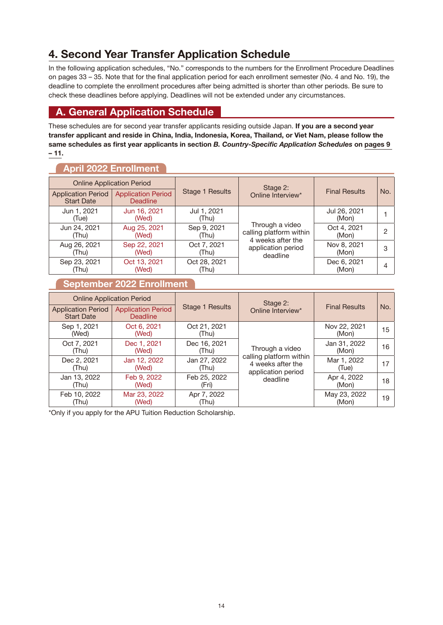#### <span id="page-15-0"></span>**4. Second Year Transfer Application Schedule**

In the following application schedules, "No." corresponds to the numbers for the Enrollment Procedure Deadlines on [pages 33 – 35.](#page-34-0) Note that for the final application period for each enrollment semester (No. 4 and No. 19), the deadline to complete the enrollment procedures after being admitted is shorter than other periods. Be sure to check these deadlines before applying. Deadlines will not be extended under any circumstances.

#### **A. General Application Schedule**

These schedules are for second year transfer applicants residing outside Japan. **If you are a second year transfer applicant and reside in China, India, Indonesia, Korea, Thailand, or Viet Nam, please follow the same schedules as first year applicants in section** *B. Country-Specific Application Schedules* **on [pages 9](#page-10-0)  [– 11.](#page-10-0)**

#### **April 2022 Enrollment**

|                                                | <b>Online Application Period</b>             |                        | Stage 2:                                                        |                       |     |
|------------------------------------------------|----------------------------------------------|------------------------|-----------------------------------------------------------------|-----------------------|-----|
| <b>Application Period</b><br><b>Start Date</b> | <b>Application Period</b><br><b>Deadline</b> | <b>Stage 1 Results</b> | Online Interview*                                               | <b>Final Results</b>  | No. |
| Jun 1, 2021<br>(Tue)                           | Jun 16, 2021<br>(Wed)                        | Jul 1, 2021<br>(Thu)   |                                                                 | Jul 26, 2021<br>(Mon) |     |
| Jun 24, 2021<br>(Thu)                          | Aug 25, 2021<br>(Wed)                        | Sep 9, 2021<br>(Thu)   | Through a video<br>calling platform within<br>4 weeks after the | Oct 4, 2021<br>(Mon)  | റ   |
| Aug 26, 2021<br>(Thu)                          | Sep 22, 2021<br>(Wed)                        | Oct 7, 2021<br>(Thu)   | application period<br>deadline                                  | Nov 8, 2021<br>(Mon)  | З   |
| Sep 23, 2021<br>(Thu)                          | Oct 13, 2021<br>(Wed)                        | Oct 28, 2021<br>(Thu)  |                                                                 | Dec 6, 2021<br>(Mon)  |     |

#### **September 2022 Enrollment**

| <b>Online Application Period</b>               |                                              |                        | Stage 2:                                                           |                       |     |
|------------------------------------------------|----------------------------------------------|------------------------|--------------------------------------------------------------------|-----------------------|-----|
| <b>Application Period</b><br><b>Start Date</b> | <b>Application Period</b><br><b>Deadline</b> | <b>Stage 1 Results</b> | Online Interview*                                                  | <b>Final Results</b>  | No. |
| Sep 1, 2021<br>(Wed)                           | Oct 6, 2021<br>(Wed)                         | Oct 21, 2021<br>(Thu)  |                                                                    | Nov 22, 2021<br>(Mon) | 15  |
| Oct 7, 2021<br>(Thu)                           | Dec 1, 2021<br>(Wed)                         | Dec 16, 2021<br>(Thu)  | Through a video                                                    | Jan 31, 2022<br>(Mon) | 16  |
| Dec 2, 2021<br>(Thu)                           | Jan 12, 2022<br>(Wed)                        | Jan 27, 2022<br>(Thu)  | calling platform within<br>4 weeks after the<br>application period | Mar 1, 2022<br>(Tue)  | 17  |
| Jan 13, 2022<br>(Thu)                          | Feb 9, 2022<br>(Wed)                         | Feb 25, 2022<br>(Fri)  | deadline                                                           | Apr 4, 2022<br>(Mon)  | 18  |
| Feb 10, 2022<br>(Thu)                          | Mar 23, 2022<br>(Wed)                        | Apr 7, 2022<br>(Thu)   |                                                                    | May 23, 2022<br>(Mon) | 19  |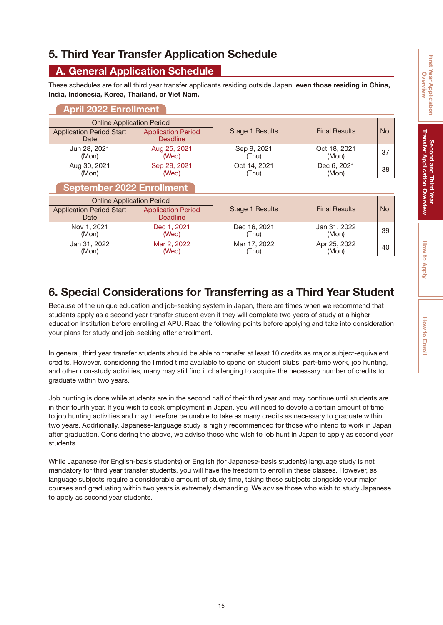## Second and Third Year<br>Transfer Application Overview **Transfer Application Overview Second and Third Year**

#### <span id="page-16-0"></span>**5. Third Year Transfer Application Schedule**

#### **A. General Application Schedule**

These schedules are for **all** third year transfer applicants residing outside Japan, **even those residing in China, India, Indonesia, Korea, Thailand, or Viet Nam.**

#### **April 2022 Enrollment**

|                                         | <b>Online Application Period</b>             |                       |                       |     |
|-----------------------------------------|----------------------------------------------|-----------------------|-----------------------|-----|
| <b>Application Period Start</b><br>Date | <b>Application Period</b><br><b>Deadline</b> | Stage 1 Results       | <b>Final Results</b>  | No. |
| Jun 28, 2021<br>(Mon)                   | Aug 25, 2021<br>(Wed)                        | Sep 9, 2021<br>(Thu)  | Oct 18, 2021<br>(Mon) | 37  |
| Aug 30, 2021<br>(Mon)                   | Sep 29, 2021<br>(Wed)                        | Oct 14, 2021<br>(Thu) | Dec 6, 2021<br>(Mon)  | 38  |

#### **September 2022 Enrollment**

|                                         | <b>Online Application Period</b>             |                 |                      |     |
|-----------------------------------------|----------------------------------------------|-----------------|----------------------|-----|
| <b>Application Period Start</b><br>Date | <b>Application Period</b><br><b>Deadline</b> | Stage 1 Results | <b>Final Results</b> | No. |
| Nov 1, 2021                             | Dec 1, 2021                                  | Dec 16, 2021    | Jan 31, 2022         | 39  |
| (Mon)                                   | (Wed)                                        | (Thu)           | (Mon)                |     |
| Jan 31, 2022                            | Mar 2, 2022                                  | Mar 17, 2022    | Apr 25, 2022         | 40  |
| (Mon)                                   | (Wed)                                        | (Thu)           | (Mon)                |     |

#### **6. Special Considerations for Transferring as a Third Year Student**

Because of the unique education and job-seeking system in Japan, there are times when we recommend that students apply as a second year transfer student even if they will complete two years of study at a higher education institution before enrolling at APU. Read the following points before applying and take into consideration your plans for study and job-seeking after enrollment.

In general, third year transfer students should be able to transfer at least 10 credits as major subject-equivalent credits. However, considering the limited time available to spend on student clubs, part-time work, job hunting, and other non-study activities, many may still find it challenging to acquire the necessary number of credits to graduate within two years.

Job hunting is done while students are in the second half of their third year and may continue until students are in their fourth year. If you wish to seek employment in Japan, you will need to devote a certain amount of time to job hunting activities and may therefore be unable to take as many credits as necessary to graduate within two years. Additionally, Japanese-language study is highly recommended for those who intend to work in Japan after graduation. Considering the above, we advise those who wish to job hunt in Japan to apply as second year students.

While Japanese (for English-basis students) or English (for Japanese-basis students) language study is not mandatory for third year transfer students, you will have the freedom to enroll in these classes. However, as language subjects require a considerable amount of study time, taking these subjects alongside your major courses and graduating within two years is extremely demanding. We advise those who wish to study Japanese to apply as second year students.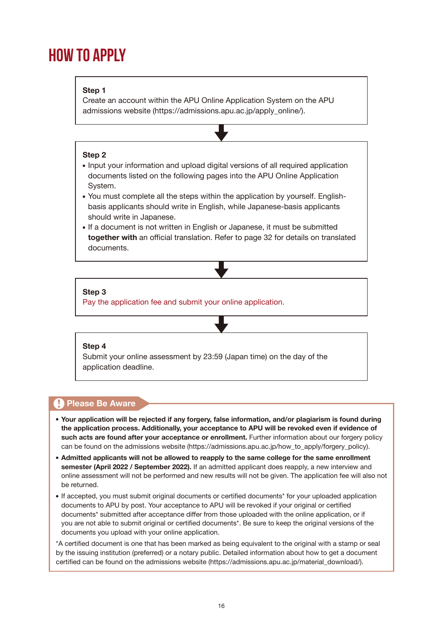## <span id="page-17-0"></span>**HOW TO APPLY**

#### **Step 1**

Create an account within the APU Online Application System on the APU admissions website (https://admissions.apu.ac.jp/apply\_online/).

#### **Step 2**

- Input your information and upload digital versions of all required application documents listed on the following pages into the APU Online Application System.
- You must complete all the steps within the application by yourself. Englishbasis applicants should write in English, while Japanese-basis applicants should write in Japanese.
- If a document is not written in English or Japanese, it must be submitted **together with** an official translation. Refer to [page 32](#page-33-0) for details on translated documents.

#### **Step 3**

Pay the application fee and submit your online application.

#### **Step 4**

Submit your online assessment by 23:59 (Japan time) on the day of the application deadline.

#### **A** Please Be Aware

- **Your application will be rejected if any forgery, false information, and/or plagiarism is found during the application process. Additionally, your acceptance to APU will be revoked even if evidence of such acts are found after your acceptance or enrollment.** Further information about our forgery policy can be found on the admissions website (https://admissions.apu.ac.jp/how\_to\_apply/forgery\_policy).
- **Admitted applicants will not be allowed to reapply to the same college for the same enrollment semester (April 2022 / September 2022).** If an admitted applicant does reapply, a new interview and online assessment will not be performed and new results will not be given. The application fee will also not be returned.
- If accepted, you must submit original documents or certified documents\* for your uploaded application documents to APU by post. Your acceptance to APU will be revoked if your original or certified documents\* submitted after acceptance differ from those uploaded with the online application, or if you are not able to submit original or certified documents\*. Be sure to keep the original versions of the documents you upload with your online application.

\*A certified document is one that has been marked as being equivalent to the original with a stamp or seal by the issuing institution (preferred) or a notary public. Detailed information about how to get a document certified can be found on the admissions website (https://admissions.apu.ac.jp/material\_download/).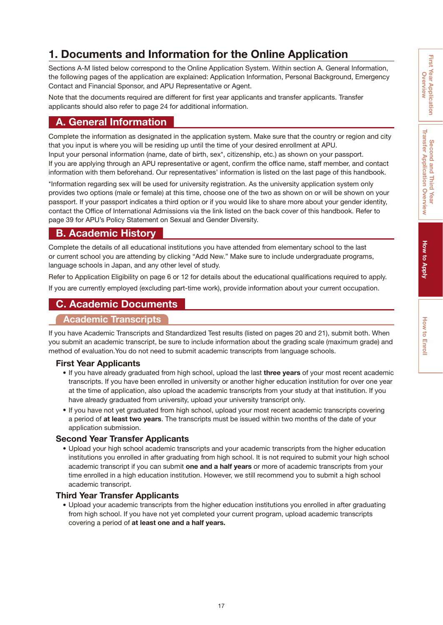#### <span id="page-18-0"></span>**1. Documents and Information for the Online Application**

Sections A-M listed below correspond to the Online Application System. Within section A. General Information, the following pages of the application are explained: Application Information, Personal Background, Emergency Contact and Financial Sponsor, and APU Representative or Agent.

Note that the documents required are different for first year applicants and transfer applicants. Transfer applicants should also refer to [page 24](#page-25-0) for additional information.

#### **A. General Information**

Complete the information as designated in the application system. Make sure that the country or region and city that you input is where you will be residing up until the time of your desired enrollment at APU. Input your personal information (name, date of birth, sex\*, citizenship, etc.) as shown on your passport.

If you are applying through an APU representative or agent, confirm the office name, staff member, and contact information with them beforehand. Our representatives' information is listed on the last page of this handbook.

\*Information regarding sex will be used for university registration. As the university application system only provides two options (male or female) at this time, choose one of the two as shown on or will be shown on your passport. If your passport indicates a third option or if you would like to share more about your gender identity, contact the Office of International Admissions via the link listed on the back cover of this handbook. Refer to [page 39](#page-40-0) for APU's Policy Statement on Sexual and Gender Diversity.

#### **B. Academic History**

Complete the details of all educational institutions you have attended from elementary school to the last or current school you are attending by clicking "Add New." Make sure to include undergraduate programs, language schools in Japan, and any other level of study.

Refer to Application Eligibility on [page 6](#page-7-0) or [12](#page-13-0) for details about the educational qualifications required to apply.

If you are currently employed (excluding part-time work), provide information about your current occupation.

#### **C. Academic Documents**

#### **Academic Transcripts**

If you have Academic Transcripts and Standardized Test results (listed on [pages 20 and 21\)](#page-21-0), submit both. When you submit an academic transcript, be sure to include information about the grading scale (maximum grade) and method of evaluation.You do not need to submit academic transcripts from language schools.

#### **First Year Applicants**

- If you have already graduated from high school, upload the last **three years** of your most recent academic transcripts. If you have been enrolled in university or another higher education institution for over one year at the time of application, also upload the academic transcripts from your study at that institution. If you have already graduated from university, upload your university transcript only.
- If you have not yet graduated from high school, upload your most recent academic transcripts covering a period of **at least two years**. The transcripts must be issued within two months of the date of your application submission.

#### **Second Year Transfer Applicants**

Upload your high school academic transcripts and your academic transcripts from the higher education institutions you enrolled in after graduating from high school. It is not required to submit your high school academic transcript if you can submit **one and a half years** or more of academic transcripts from your time enrolled in a high education institution. However, we still recommend you to submit a high school academic transcript.

#### **Third Year Transfer Applicants**

Upload your academic transcripts from the higher education institutions you enrolled in after graduating from high school. If you have not yet completed your current program, upload academic transcripts covering a period of **at least one and a half years.**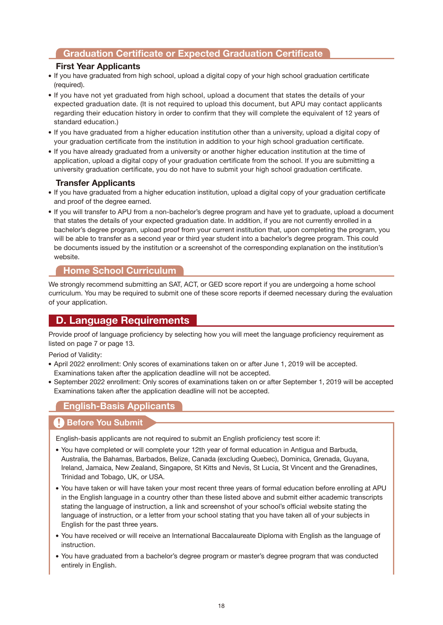#### <span id="page-19-0"></span>**Graduation Certificate or Expected Graduation Certificate**

#### **First Year Applicants**

- If you have graduated from high school, upload a digital copy of your high school graduation certificate (required).
- If you have not yet graduated from high school, upload a document that states the details of your expected graduation date. (It is not required to upload this document, but APU may contact applicants regarding their education history in order to confirm that they will complete the equivalent of 12 years of standard education.)
- If you have graduated from a higher education institution other than a university, upload a digital copy of your graduation certificate from the institution in addition to your high school graduation certificate.
- If you have already graduated from a university or another higher education institution at the time of application, upload a digital copy of your graduation certificate from the school. If you are submitting a university graduation certificate, you do not have to submit your high school graduation certificate.

#### **Transfer Applicants**

- If you have graduated from a higher education institution, upload a digital copy of your graduation certificate and proof of the degree earned.
- If you will transfer to APU from a non-bachelor's degree program and have yet to graduate, upload a document that states the details of your expected graduation date. In addition, if you are not currently enrolled in a bachelor's degree program, upload proof from your current institution that, upon completing the program, you will be able to transfer as a second year or third year student into a bachelor's degree program. This could be documents issued by the institution or a screenshot of the corresponding explanation on the institution's website.

#### **Home School Curriculum**

We strongly recommend submitting an SAT, ACT, or GED score report if you are undergoing a home school curriculum. You may be required to submit one of these score reports if deemed necessary during the evaluation of your application.

#### **D. Language Requirements**

Provide proof of language proficiency by selecting how you will meet the language proficiency requirement as listed on [page 7](#page-8-0) or [page 13.](#page-14-0)

Period of Validity:

- April 2022 enrollment: Only scores of examinations taken on or after June 1, 2019 will be accepted. Examinations taken after the application deadline will not be accepted.
- September 2022 enrollment: Only scores of examinations taken on or after September 1, 2019 will be accepted Examinations taken after the application deadline will not be accepted.

#### **English-Basis Applicants**

#### **Before You Submit**

English-basis applicants are not required to submit an English proficiency test score if:

- You have completed or will complete your 12th year of formal education in Antigua and Barbuda, Australia, the Bahamas, Barbados, Belize, Canada (excluding Quebec), Dominica, Grenada, Guyana, Ireland, Jamaica, New Zealand, Singapore, St Kitts and Nevis, St Lucia, St Vincent and the Grenadines, Trinidad and Tobago, UK, or USA.
- You have taken or will have taken your most recent three years of formal education before enrolling at APU in the English language in a country other than these listed above and submit either academic transcripts stating the language of instruction, a link and screenshot of your school's official website stating the language of instruction, or a letter from your school stating that you have taken all of your subjects in English for the past three years.
- You have received or will receive an International Baccalaureate Diploma with English as the language of instruction.
- You have graduated from a bachelor's degree program or master's degree program that was conducted entirely in English.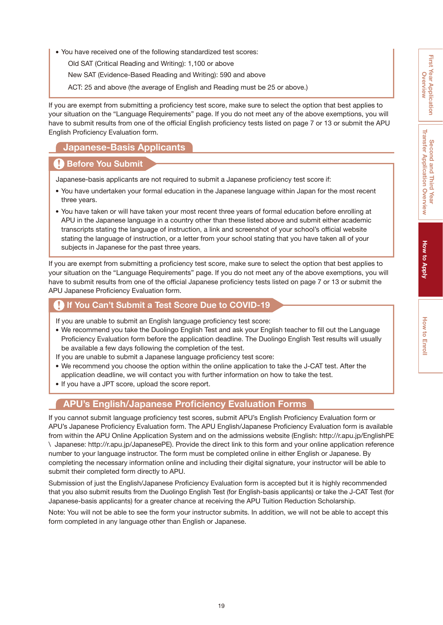<span id="page-20-0"></span>You have received one of the following standardized test scores:

Old SAT (Critical Reading and Writing): 1,100 or above

New SAT (Evidence-Based Reading and Writing): 590 and above

ACT: 25 and above (the average of English and Reading must be 25 or above.)

If you are exempt from submitting a proficiency test score, make sure to select the option that best applies to your situation on the "Language Requirements" page. If you do not meet any of the above exemptions, you will have to submit results from one of the official English proficiency tests listed on [page 7](#page-8-0) or [13](#page-14-0) or submit the APU English Proficiency Evaluation form.

#### **Japanese-Basis Applicants**

#### **Before You Submit**

Japanese-basis applicants are not required to submit a Japanese proficiency test score if:

- You have undertaken your formal education in the Japanese language within Japan for the most recent three years.
- You have taken or will have taken your most recent three years of formal education before enrolling at APU in the Japanese language in a country other than these listed above and submit either academic transcripts stating the language of instruction, a link and screenshot of your school's official website stating the language of instruction, or a letter from your school stating that you have taken all of your subjects in Japanese for the past three years.

If you are exempt from submitting a proficiency test score, make sure to select the option that best applies to your situation on the "Language Requirements" page. If you do not meet any of the above exemptions, you will have to submit results from one of the official Japanese proficiency tests listed on [page 7](#page-8-0) or [13](#page-14-0) or submit the APU Japanese Proficiency Evaluation form.

#### **If You Can't Submit a Test Score Due to COVID-19**

If you are unable to submit an English language proficiency test score:

- We recommend you take the Duolingo English Test and ask your English teacher to fill out the Language Proficiency Evaluation form before the application deadline. The Duolingo English Test results will usually be available a few days following the completion of the test.
- If you are unable to submit a Japanese language proficiency test score:
- We recommend you choose the option within the online application to take the J-CAT test. After the application deadline, we will contact you with further information on how to take the test.
- If you have a JPT score, upload the score report.

#### **APU's English/Japanese Proficiency Evaluation Forms**

If you cannot submit language proficiency test scores, submit APU's English Proficiency Evaluation form or APU's Japanese Proficiency Evaluation form. The APU English/Japanese Proficiency Evaluation form is available from within the APU Online Application System and on the admissions website (English: http://r.apu.jp/EnglishPE \ Japanese: http://r.apu.jp/JapanesePE). Provide the direct link to this form and your online application reference number to your language instructor. The form must be completed online in either English or Japanese. By completing the necessary information online and including their digital signature, your instructor will be able to submit their completed form directly to APU.

Submission of just the English/Japanese Proficiency Evaluation form is accepted but it is highly recommended that you also submit results from the Duolingo English Test (for English-basis applicants) or take the J-CAT Test (for Japanese-basis applicants) for a greater chance at receiving the APU Tuition Reduction Scholarship.

Note: You will not be able to see the form your instructor submits. In addition, we will not be able to accept this form completed in any language other than English or Japanese.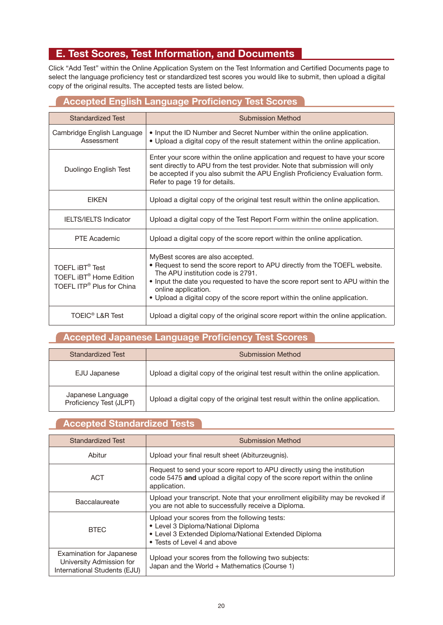#### <span id="page-21-0"></span>**E. Test Scores, Test Information, and Documents**

Click "Add Test" within the Online Application System on the Test Information and Certified Documents page to select the language proficiency test or standardized test scores you would like to submit, then upload a digital copy of the original results. The accepted tests are listed below.

#### **Accepted English Language Proficiency Test Scores**

| <b>Standardized Test</b>                                                                                          | <b>Submission Method</b>                                                                                                                                                                                                                                                                                                                   |
|-------------------------------------------------------------------------------------------------------------------|--------------------------------------------------------------------------------------------------------------------------------------------------------------------------------------------------------------------------------------------------------------------------------------------------------------------------------------------|
| Cambridge English Language<br>Assessment                                                                          | • Input the ID Number and Secret Number within the online application.<br>• Upload a digital copy of the result statement within the online application.                                                                                                                                                                                   |
| Duolingo English Test                                                                                             | Enter your score within the online application and request to have your score<br>sent directly to APU from the test provider. Note that submission will only<br>be accepted if you also submit the APU English Proficiency Evaluation form.<br>Refer to page 19 for details.                                                               |
| <b>EIKEN</b>                                                                                                      | Upload a digital copy of the original test result within the online application.                                                                                                                                                                                                                                                           |
| <b>IELTS/IELTS Indicator</b>                                                                                      | Upload a digital copy of the Test Report Form within the online application.                                                                                                                                                                                                                                                               |
| PTF Academic                                                                                                      | Upload a digital copy of the score report within the online application.                                                                                                                                                                                                                                                                   |
| TOEFL <b>IBT<sup>®</sup></b> Test<br>TOEFL iBT <sup>®</sup> Home Edition<br>TOEFL ITP <sup>®</sup> Plus for China | MyBest scores are also accepted.<br>• Request to send the score report to APU directly from the TOEFL website.<br>The APU institution code is 2791.<br>• Input the date you requested to have the score report sent to APU within the<br>online application.<br>• Upload a digital copy of the score report within the online application. |
| <b>TOEIC<sup>®</sup> L&amp;R Test</b>                                                                             | Upload a digital copy of the original score report within the online application.                                                                                                                                                                                                                                                          |

#### **Accepted Japanese Language Proficiency Test Scores**

| <b>Standardized Test</b>                     | <b>Submission Method</b>                                                         |
|----------------------------------------------|----------------------------------------------------------------------------------|
| EJU Japanese                                 | Upload a digital copy of the original test result within the online application. |
| Japanese Language<br>Proficiency Test (JLPT) | Upload a digital copy of the original test result within the online application. |

#### **Accepted Standardized Tests**

| Standardized Test                                                                    | Submission Method                                                                                                                                                          |  |
|--------------------------------------------------------------------------------------|----------------------------------------------------------------------------------------------------------------------------------------------------------------------------|--|
| Abitur                                                                               | Upload your final result sheet (Abiturzeugnis).                                                                                                                            |  |
| <b>ACT</b>                                                                           | Request to send your score report to APU directly using the institution<br>code 5475 and upload a digital copy of the score report within the online<br>application.       |  |
| <b>Baccalaureate</b>                                                                 | Upload your transcript. Note that your enrollment eligibility may be revoked if<br>you are not able to successfully receive a Diploma.                                     |  |
| <b>BTEC</b>                                                                          | Upload your scores from the following tests:<br>• Level 3 Diploma/National Diploma<br>• Level 3 Extended Diploma/National Extended Diploma<br>• Tests of Level 4 and above |  |
| Examination for Japanese<br>University Admission for<br>International Students (EJU) | Upload your scores from the following two subjects:<br>Japan and the World + Mathematics (Course 1)                                                                        |  |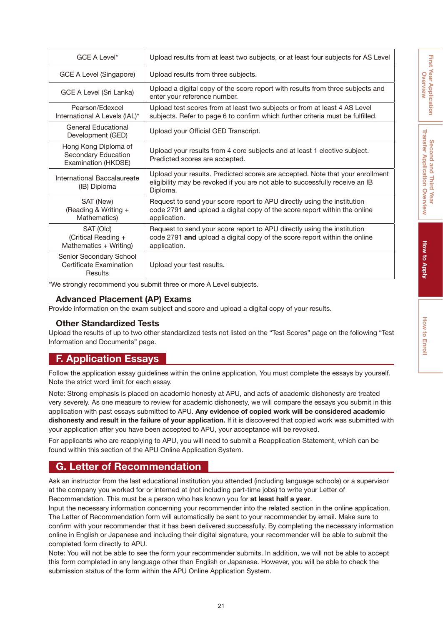| GCE A Level*                                                       | Upload results from at least two subjects, or at least four subjects for AS Level                                                                                         |
|--------------------------------------------------------------------|---------------------------------------------------------------------------------------------------------------------------------------------------------------------------|
| GCE A Level (Singapore)                                            | Upload results from three subjects.                                                                                                                                       |
| GCE A Level (Sri Lanka)                                            | Upload a digital copy of the score report with results from three subjects and<br>enter your reference number.                                                            |
| Pearson/Edexcel<br>International A Levels (IAL)*                   | Upload test scores from at least two subjects or from at least 4 AS Level<br>subjects. Refer to page 6 to confirm which further criteria must be fulfilled.               |
| General Educational<br>Development (GED)                           | Upload your Official GED Transcript.                                                                                                                                      |
| Hong Kong Diploma of<br>Secondary Education<br>Examination (HKDSE) | Upload your results from 4 core subjects and at least 1 elective subject.<br>Predicted scores are accepted.                                                               |
| International Baccalaureate<br>(IB) Diploma                        | Upload your results. Predicted scores are accepted. Note that your enrollment<br>eligibility may be revoked if you are not able to successfully receive an IB<br>Diploma. |
| SAT (New)<br>(Reading & Writing +<br>Mathematics)                  | Request to send your score report to APU directly using the institution<br>code 2791 and upload a digital copy of the score report within the online<br>application.      |
| SAT (Old)<br>(Critical Reading +<br>Mathematics + Writing)         | Request to send your score report to APU directly using the institution<br>code 2791 and upload a digital copy of the score report within the online<br>application.      |
| Senior Secondary School<br>Certificate Examination<br>Results      | Upload your test results.                                                                                                                                                 |

\*We strongly recommend you submit three or more A Level subjects.

#### **Advanced Placement (AP) Exams**

Provide information on the exam subject and score and upload a digital copy of your results.

#### **Other Standardized Tests**

Upload the results of up to two other standardized tests not listed on the "Test Scores" page on the following "Test Information and Documents" page.

#### **F. Application Essays**

Follow the application essay guidelines within the online application. You must complete the essays by yourself. Note the strict word limit for each essay.

Note: Strong emphasis is placed on academic honesty at APU, and acts of academic dishonesty are treated very severely. As one measure to review for academic dishonesty, we will compare the essays you submit in this application with past essays submitted to APU. **Any evidence of copied work will be considered academic dishonesty and result in the failure of your application.** If it is discovered that copied work was submitted with your application after you have been accepted to APU, your acceptance will be revoked.

For applicants who are reapplying to APU, you will need to submit a Reapplication Statement, which can be found within this section of the APU Online Application System.

#### **G. Letter of Recommendation**

Ask an instructor from the last educational institution you attended (including language schools) or a supervisor at the company you worked for or interned at (not including part-time jobs) to write your Letter of Recommendation. This must be a person who has known you for **at least half a year**.

Input the necessary information concerning your recommender into the related section in the online application. The Letter of Recommendation form will automatically be sent to your recommender by email. Make sure to confirm with your recommender that it has been delivered successfully. By completing the necessary information online in English or Japanese and including their digital signature, your recommender will be able to submit the completed form directly to APU.

Note: You will not be able to see the form your recommender submits. In addition, we will not be able to accept this form completed in any language other than English or Japanese. However, you will be able to check the submission status of the form within the APU Online Application System.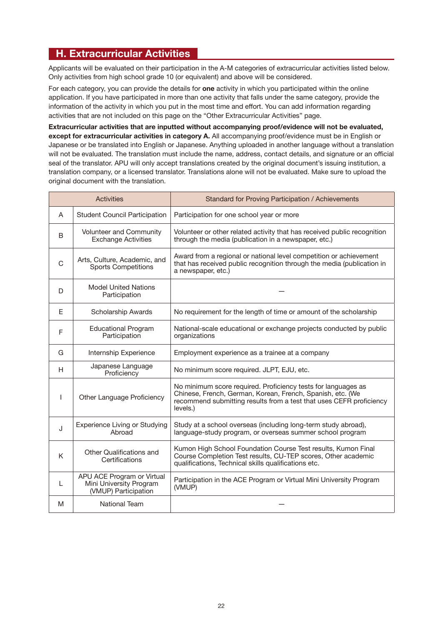#### **H. Extracurricular Activities**

Applicants will be evaluated on their participation in the A-M categories of extracurricular activities listed below. Only activities from high school grade 10 (or equivalent) and above will be considered.

For each category, you can provide the details for **one** activity in which you participated within the online application. If you have participated in more than one activity that falls under the same category, provide the information of the activity in which you put in the most time and effort. You can add information regarding activities that are not included on this page on the "Other Extracurricular Activities" page.

**Extracurricular activities that are inputted without accompanying proof/evidence will not be evaluated, except for extracurricular activities in category A.** All accompanying proof/evidence must be in English or Japanese or be translated into English or Japanese. Anything uploaded in another language without a translation will not be evaluated. The translation must include the name, address, contact details, and signature or an official seal of the translator. APU will only accept translations created by the original document's issuing institution, a translation company, or a licensed translator. Translations alone will not be evaluated. Make sure to upload the original document with the translation.

| <b>Activities</b> |                                                                               | Standard for Proving Participation / Achievements                                                                                                                                                              |
|-------------------|-------------------------------------------------------------------------------|----------------------------------------------------------------------------------------------------------------------------------------------------------------------------------------------------------------|
| A                 | <b>Student Council Participation</b>                                          | Participation for one school year or more                                                                                                                                                                      |
| B                 | <b>Volunteer and Community</b><br><b>Exchange Activities</b>                  | Volunteer or other related activity that has received public recognition<br>through the media (publication in a newspaper, etc.)                                                                               |
| C                 | Arts, Culture, Academic, and<br><b>Sports Competitions</b>                    | Award from a regional or national level competition or achievement<br>that has received public recognition through the media (publication in<br>a newspaper, etc.)                                             |
| D                 | <b>Model United Nations</b><br>Participation                                  |                                                                                                                                                                                                                |
| F                 | <b>Scholarship Awards</b>                                                     | No requirement for the length of time or amount of the scholarship                                                                                                                                             |
| F                 | <b>Educational Program</b><br>Participation                                   | National-scale educational or exchange projects conducted by public<br>organizations                                                                                                                           |
| G                 | Internship Experience                                                         | Employment experience as a trainee at a company                                                                                                                                                                |
| H                 | Japanese Language<br>Proficiency                                              | No minimum score required. JLPT, EJU, etc.                                                                                                                                                                     |
| <b>I</b>          | Other Language Proficiency                                                    | No minimum score required. Proficiency tests for languages as<br>Chinese, French, German, Korean, French, Spanish, etc. (We<br>recommend submitting results from a test that uses CEFR proficiency<br>levels.) |
| J                 | <b>Experience Living or Studying</b><br>Abroad                                | Study at a school overseas (including long-term study abroad),<br>language-study program, or overseas summer school program                                                                                    |
| K                 | Other Qualifications and<br>Certifications                                    | Kumon High School Foundation Course Test results, Kumon Final<br>Course Completion Test results, CU-TEP scores, Other academic<br>qualifications, Technical skills qualifications etc.                         |
| L                 | APU ACE Program or Virtual<br>Mini University Program<br>(VMUP) Participation | Participation in the ACE Program or Virtual Mini University Program<br>(VMUP)                                                                                                                                  |
| M                 | <b>National Team</b>                                                          |                                                                                                                                                                                                                |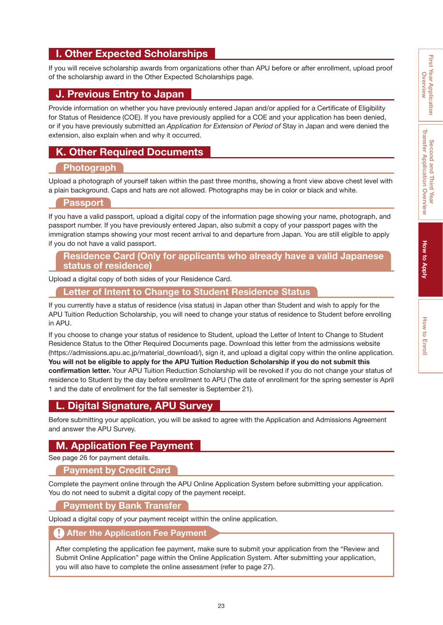#### <span id="page-24-0"></span>**I. Other Expected Scholarships**

If you will receive scholarship awards from organizations other than APU before or after enrollment, upload proof of the scholarship award in the Other Expected Scholarships page.

#### **J. Previous Entry to Japan**

Provide information on whether you have previously entered Japan and/or applied for a Certificate of Eligibility for Status of Residence (COE). If you have previously applied for a COE and your application has been denied, or if you have previously submitted an *Application for Extension of Period of* Stay in Japan and were denied the extension, also explain when and why it occurred.

#### **K. Other Required Documents**

#### **Photograph**

Upload a photograph of yourself taken within the past three months, showing a front view above chest level with a plain background. Caps and hats are not allowed. Photographs may be in color or black and white.

#### **Passport**

If you have a valid passport, upload a digital copy of the information page showing your name, photograph, and passport number. If you have previously entered Japan, also submit a copy of your passport pages with the immigration stamps showing your most recent arrival to and departure from Japan. You are still eligible to apply if you do not have a valid passport.

#### **Residence Card (Only for applicants who already have a valid Japanese status of residence)**

Upload a digital copy of both sides of your Residence Card.

#### **Letter of Intent to Change to Student Residence Status**

If you currently have a status of residence (visa status) in Japan other than Student and wish to apply for the APU Tuition Reduction Scholarship, you will need to change your status of residence to Student before enrolling in APU.

If you choose to change your status of residence to Student, upload the Letter of Intent to Change to Student Residence Status to the Other Required Documents page. Download this letter from the admissions website (https://admissions.apu.ac.jp/material\_download/), sign it, and upload a digital copy within the online application. **You will not be eligible to apply for the APU Tuition Reduction Scholarship if you do not submit this confirmation letter.** Your APU Tuition Reduction Scholarship will be revoked if you do not change your status of residence to Student by the day before enrollment to APU (The date of enrollment for the spring semester is April 1 and the date of enrollment for the fall semester is September 21).

#### **L. Digital Signature, APU Survey**

Before submitting your application, you will be asked to agree with the Application and Admissions Agreement and answer the APU Survey.

#### **M. Application Fee Payment**

See [page 26](#page-27-0) for payment details.

#### **Payment by Credit Card**

Complete the payment online through the APU Online Application System before submitting your application. You do not need to submit a digital copy of the payment receipt.

#### **Payment by Bank Transfer**

Upload a digital copy of your payment receipt within the online application.

#### **After the Application Fee Payment**

After completing the application fee payment, make sure to submit your application from the "Review and Submit Online Application" page within the Online Application System. After submitting your application, you will also have to complete the online assessment (refer to [page 27\)](#page-28-0).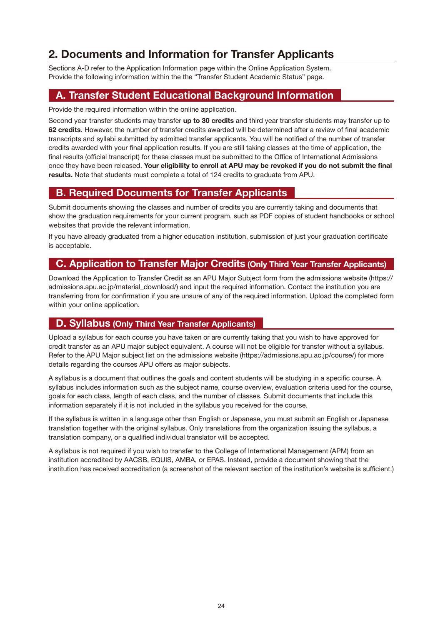#### <span id="page-25-0"></span>**2. Documents and Information for Transfer Applicants**

Sections A-D refer to the Application Information page within the Online Application System. Provide the following information within the the "Transfer Student Academic Status" page.

#### **A. Transfer Student Educational Background Information**

Provide the required information within the online application.

Second year transfer students may transfer **up to 30 credits** and third year transfer students may transfer up to **62 credits**. However, the number of transfer credits awarded will be determined after a review of final academic transcripts and syllabi submitted by admitted transfer applicants. You will be notified of the number of transfer credits awarded with your final application results. If you are still taking classes at the time of application, the final results (official transcript) for these classes must be submitted to the Office of International Admissions once they have been released. **Your eligibility to enroll at APU may be revoked if you do not submit the final results.** Note that students must complete a total of 124 credits to graduate from APU.

#### **B. Required Documents for Transfer Applicants**

Submit documents showing the classes and number of credits you are currently taking and documents that show the graduation requirements for your current program, such as PDF copies of student handbooks or school websites that provide the relevant information.

If you have already graduated from a higher education institution, submission of just your graduation certificate is acceptable.

#### **C. Application to Transfer Major Credits (Only Third Year Transfer Applicants)**

Download the Application to Transfer Credit as an APU Major Subject form from the admissions website (https:// admissions.apu.ac.jp/material\_download/) and input the required information. Contact the institution you are transferring from for confirmation if you are unsure of any of the required information. Upload the completed form within your online application.

#### **D. Syllabus (Only Third Year Transfer Applicants)**

Upload a syllabus for each course you have taken or are currently taking that you wish to have approved for credit transfer as an APU major subject equivalent. A course will not be eligible for transfer without a syllabus. Refer to the APU Major subject list on the admissions website (https://admissions.apu.ac.jp/course/) for more details regarding the courses APU offers as major subjects.

A syllabus is a document that outlines the goals and content students will be studying in a specific course. A syllabus includes information such as the subject name, course overview, evaluation criteria used for the course, goals for each class, length of each class, and the number of classes. Submit documents that include this information separately if it is not included in the syllabus you received for the course.

If the syllabus is written in a language other than English or Japanese, you must submit an English or Japanese translation together with the original syllabus. Only translations from the organization issuing the syllabus, a translation company, or a qualified individual translator will be accepted.

A syllabus is not required if you wish to transfer to the College of International Management (APM) from an institution accredited by AACSB, EQUIS, AMBA, or EPAS. Instead, provide a document showing that the institution has received accreditation (a screenshot of the relevant section of the institution's website is sufficient.)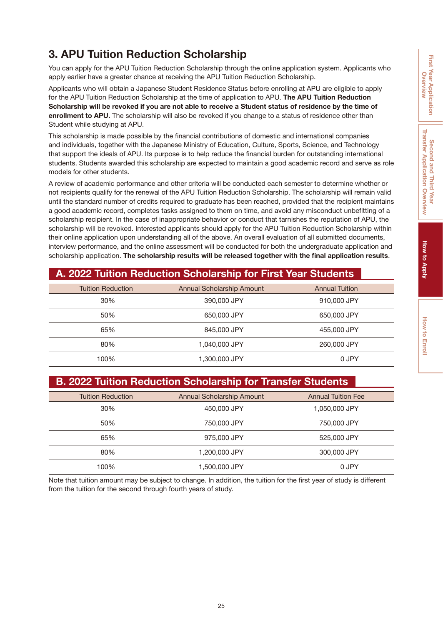#### <span id="page-26-0"></span>**3. APU Tuition Reduction Scholarship**

You can apply for the APU Tuition Reduction Scholarship through the online application system. Applicants who apply earlier have a greater chance at receiving the APU Tuition Reduction Scholarship.

Applicants who will obtain a Japanese Student Residence Status before enrolling at APU are eligible to apply for the APU Tuition Reduction Scholarship at the time of application to APU. **The APU Tuition Reduction Scholarship will be revoked if you are not able to receive a Student status of residence by the time of enrollment to APU.** The scholarship will also be revoked if you change to a status of residence other than Student while studying at APU.

This scholarship is made possible by the financial contributions of domestic and international companies and individuals, together with the Japanese Ministry of Education, Culture, Sports, Science, and Technology that support the ideals of APU. Its purpose is to help reduce the financial burden for outstanding international students. Students awarded this scholarship are expected to maintain a good academic record and serve as role models for other students.

A review of academic performance and other criteria will be conducted each semester to determine whether or not recipients qualify for the renewal of the APU Tuition Reduction Scholarship. The scholarship will remain valid until the standard number of credits required to graduate has been reached, provided that the recipient maintains a good academic record, completes tasks assigned to them on time, and avoid any misconduct unbefitting of a scholarship recipient. In the case of inappropriate behavior or conduct that tarnishes the reputation of APU, the scholarship will be revoked. Interested applicants should apply for the APU Tuition Reduction Scholarship within their online application upon understanding all of the above. An overall evaluation of all submitted documents, interview performance, and the online assessment will be conducted for both the undergraduate application and scholarship application. **The scholarship results will be released together with the final application results**.

#### **A. 2022 Tuition Reduction Scholarship for First Year Students**

| <b>Tuition Reduction</b> | Annual Scholarship Amount | <b>Annual Tuition</b> |
|--------------------------|---------------------------|-----------------------|
| 30%                      | 390,000 JPY               | 910,000 JPY           |
| 50%                      | 650,000 JPY               | 650,000 JPY           |
| 65%                      | 845,000 JPY               | 455,000 JPY           |
| 80%                      | 1,040,000 JPY             | 260,000 JPY           |
| 100%                     | 1,300,000 JPY             | 0 JPY                 |

#### **B. 2022 Tuition Reduction Scholarship for Transfer Students**

| <b>Tuition Reduction</b> | Annual Scholarship Amount | <b>Annual Tuition Fee</b> |
|--------------------------|---------------------------|---------------------------|
| 30%                      | 450,000 JPY               | 1,050,000 JPY             |
| 50%                      | 750,000 JPY               | 750,000 JPY               |
| 65%                      | 975,000 JPY               | 525,000 JPY               |
| 80%                      | 1,200,000 JPY             | 300,000 JPY               |
| 100%                     | 1,500,000 JPY             | 0 JPY                     |

Note that tuition amount may be subject to change. In addition, the tuition for the first year of study is different from the tuition for the second through fourth years of study.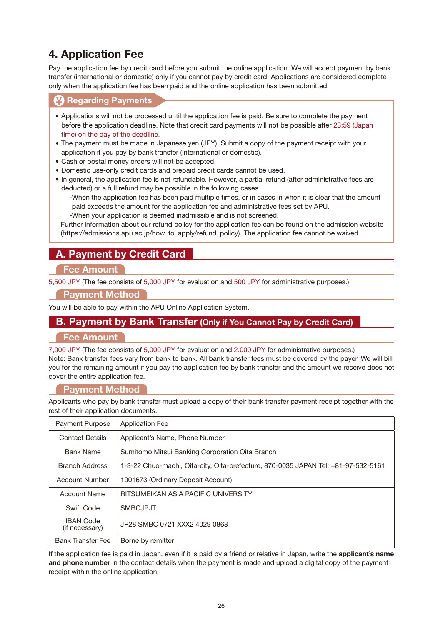#### <span id="page-27-0"></span>**4. Application Fee**

Pay the application fee by credit card before you submit the online application. We will accept payment by bank transfer (international or domestic) only if you cannot pay by credit card. Applications are considered complete only when the application fee has been paid and the online application has been submitted.

#### **<sup>2</sup> Regarding Payments**

- Applications will not be processed until the application fee is paid. Be sure to complete the payment before the application deadline. Note that credit card payments will not be possible after 23:59 (Japan time) on the day of the deadline.
- The payment must be made in Japanese yen (JPY). Submit a copy of the payment receipt with your application if you pay by bank transfer (international or domestic).
- Cash or postal money orders will not be accepted.
- Domestic use-only credit cards and prepaid credit cards cannot be used.
- In general, the application fee is not refundable. However, a partial refund (after administrative fees are deducted) or a full refund may be possible in the following cases.

-When the application fee has been paid multiple times, or in cases in when it is clear that the amount paid exceeds the amount for the application fee and administrative fees set by APU. -When your application is deemed inadmissible and is not screened.

Further information about our refund policy for the application fee can be found on the admission website (https://admissions.apu.ac.jp/how\_to\_apply/refund\_policy). The application fee cannot be waived.

#### **A. Payment by Credit Card**

#### **Fee Amount**

5,500 JPY (The fee consists of 5,000 JPY for evaluation and 500 JPY for administrative purposes.)

#### **Payment Method**

You will be able to pay within the APU Online Application System.

#### **B. Payment by Bank Transfer (Only if You Cannot Pay by Credit Card)**

#### **Fee Amount**

7,000 JPY (The fee consists of 5,000 JPY for evaluation and 2,000 JPY for administrative purposes.) Note: Bank transfer fees vary from bank to bank. All bank transfer fees must be covered by the payer. We will bill you for the remaining amount if you pay the application fee by bank transfer and the amount we receive does not cover the entire application fee.

#### **Payment Method**

Applicants who pay by bank transfer must upload a copy of their bank transfer payment receipt together with the rest of their application documents.

| <b>Payment Purpose</b>             | <b>Application Fee</b>                                                             |
|------------------------------------|------------------------------------------------------------------------------------|
| <b>Contact Details</b>             | Applicant's Name, Phone Number                                                     |
| <b>Bank Name</b>                   | Sumitomo Mitsui Banking Corporation Oita Branch                                    |
| <b>Branch Address</b>              | 1-3-22 Chuo-machi, Oita-city, Oita-prefecture, 870-0035 JAPAN Tel: +81-97-532-5161 |
| <b>Account Number</b>              | 1001673 (Ordinary Deposit Account)                                                 |
| <b>Account Name</b>                | RITSUMEIKAN ASIA PACIFIC UNIVERSITY                                                |
| Swift Code                         | <b>SMBCJPJT</b>                                                                    |
| <b>IBAN Code</b><br>(if necessary) | JP28 SMBC 0721 XXX2 4029 0868                                                      |
| <b>Bank Transfer Fee</b>           | Borne by remitter                                                                  |

If the application fee is paid in Japan, even if it is paid by a friend or relative in Japan, write the **applicant's name and phone number** in the contact details when the payment is made and upload a digital copy of the payment receipt within the online application.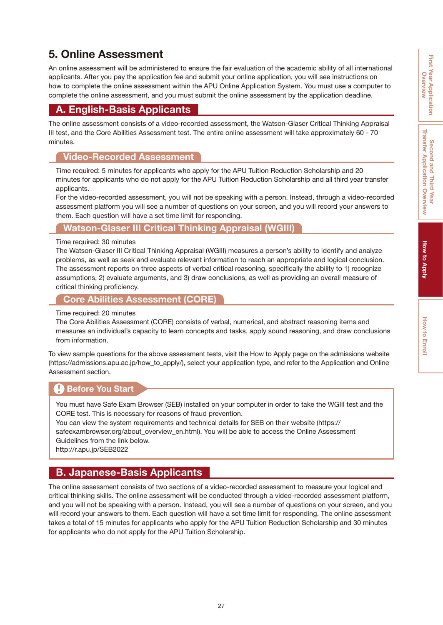#### <span id="page-28-0"></span>**5. Online Assessment**

An online assessment will be administered to ensure the fair evaluation of the academic ability of all international applicants. After you pay the application fee and submit your online application, you will see instructions on how to complete the online assessment within the APU Online Application System. You must use a computer to complete the online assessment, and you must submit the online assessment by the application deadline.

#### **A. English-Basis Applicants**

The online assessment consists of a video-recorded assessment, the Watson-Glaser Critical Thinking Appraisal III test, and the Core Abilities Assessment test. The entire online assessment will take approximately 60 - 70 minutes.

#### **Video-Recorded Assessment**

Time required: 5 minutes for applicants who apply for the APU Tuition Reduction Scholarship and 20 minutes for applicants who do not apply for the APU Tuition Reduction Scholarship and all third year transfer applicants.

For the video-recorded assessment, you will not be speaking with a person. Instead, through a video-recorded assessment platform you will see a number of questions on your screen, and you will record your answers to them. Each question will have a set time limit for responding.

#### **Watson-Glaser III Critical Thinking Appraisal (WGIII)**

#### Time required: 30 minutes

The Watson-Glaser III Critical Thinking Appraisal (WGIII) measures a person's ability to identify and analyze problems, as well as seek and evaluate relevant information to reach an appropriate and logical conclusion. The assessment reports on three aspects of verbal critical reasoning, specifically the ability to 1) recognize assumptions, 2) evaluate arguments, and 3) draw conclusions, as well as providing an overall measure of critical thinking proficiency.

#### **Core Abilities Assessment (CORE)**

#### Time required: 20 minutes

The Core Abilities Assessment (CORE) consists of verbal, numerical, and abstract reasoning items and measures an individual's capacity to learn concepts and tasks, apply sound reasoning, and draw conclusions from information.

To view sample questions for the above assessment tests, visit the How to Apply page on the admissions website (https://admissions.apu.ac.jp/how\_to\_apply/), select your application type, and refer to the Application and Online Assessment section.

#### **Before You Start**

You must have Safe Exam Browser (SEB) installed on your computer in order to take the WGIII test and the CORE test. This is necessary for reasons of fraud prevention.

You can view the system requirements and technical details for SEB on their website (https:// safeexambrowser.org/about\_overview\_en.html). You will be able to access the Online Assessment

Guidelines from the link below.

http://r.apu.jp/SEB2022

#### **B. Japanese-Basis Applicants**

The online assessment consists of two sections of a video-recorded assessment to measure your logical and critical thinking skills. The online assessment will be conducted through a video-recorded assessment platform, and you will not be speaking with a person. Instead, you will see a number of questions on your screen, and you will record your answers to them. Each question will have a set time limit for responding. The online assessment takes a total of 15 minutes for applicants who apply for the APU Tuition Reduction Scholarship and 30 minutes for applicants who do not apply for the APU Tuition Scholarship.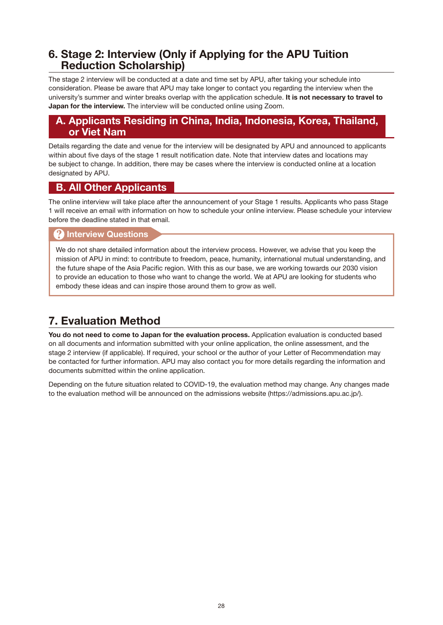#### <span id="page-29-0"></span>**6. Stage 2: Interview (Only if Applying for the APU Tuition Reduction Scholarship)**

The stage 2 interview will be conducted at a date and time set by APU, after taking your schedule into consideration. Please be aware that APU may take longer to contact you regarding the interview when the university's summer and winter breaks overlap with the application schedule. **It is not necessary to travel to Japan for the interview.** The interview will be conducted online using Zoom.

#### **A. Applicants Residing in China, India, Indonesia, Korea, Thailand, or Viet Nam**

Details regarding the date and venue for the interview will be designated by APU and announced to applicants within about five days of the stage 1 result notification date. Note that interview dates and locations may be subject to change. In addition, there may be cases where the interview is conducted online at a location designated by APU.

#### **B. All Other Applicants**

The online interview will take place after the announcement of your Stage 1 results. Applicants who pass Stage 1 will receive an email with information on how to schedule your online interview. Please schedule your interview before the deadline stated in that email.

#### **Interview Questions**

We do not share detailed information about the interview process. However, we advise that you keep the mission of APU in mind: to contribute to freedom, peace, humanity, international mutual understanding, and the future shape of the Asia Pacific region. With this as our base, we are working towards our 2030 vision to provide an education to those who want to change the world. We at APU are looking for students who embody these ideas and can inspire those around them to grow as well.

#### **7. Evaluation Method**

**You do not need to come to Japan for the evaluation process.** Application evaluation is conducted based on all documents and information submitted with your online application, the online assessment, and the stage 2 interview (if applicable). If required, your school or the author of your Letter of Recommendation may be contacted for further information. APU may also contact you for more details regarding the information and documents submitted within the online application.

Depending on the future situation related to COVID-19, the evaluation method may change. Any changes made to the evaluation method will be announced on the admissions website (https://admissions.apu.ac.jp/).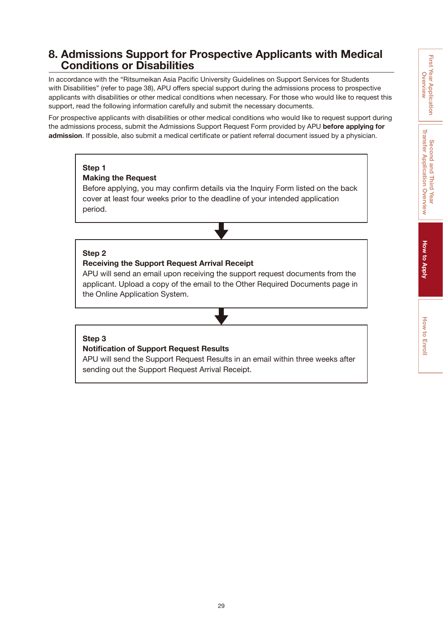#### <span id="page-30-0"></span>**8. Admissions Support for Prospective Applicants with Medical Conditions or Disabilities**

In accordance with the "Ritsumeikan Asia Pacific University Guidelines on Support Services for Students with Disabilities" (refer to [page 38\)](#page-39-0), APU offers special support during the admissions process to prospective applicants with disabilities or other medical conditions when necessary. For those who would like to request this support, read the following information carefully and submit the necessary documents.

For prospective applicants with disabilities or other medical conditions who would like to request support during the admissions process, submit the Admissions Support Request Form provided by APU **before applying for admission**. If possible, also submit a medical certificate or patient referral document issued by a physician.

#### **Step 1**

#### **Making the Request**

Before applying, you may confirm details via the [Inquiry Form](http://r.apu.jp/contact_en) listed on the back cover at least four weeks prior to the deadline of your intended application period.

#### **Step 2**

#### **Receiving the Support Request Arrival Receipt**

APU will send an email upon receiving the support request documents from the applicant. Upload a copy of the email to the Other Required Documents page in the Online Application System.

#### **Step 3**

#### **Notification of Support Request Results**

APU will send the Support Request Results in an email within three weeks after sending out the Support Request Arrival Receipt.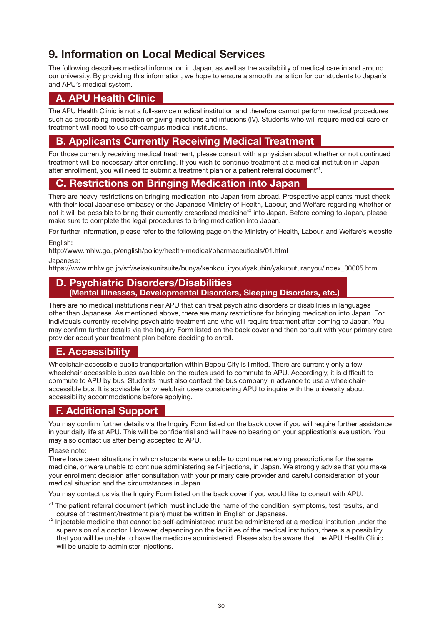#### <span id="page-31-0"></span>**9. Information on Local Medical Services**

The following describes medical information in Japan, as well as the availability of medical care in and around our university. By providing this information, we hope to ensure a smooth transition for our students to Japan's and APU's medical system.

#### **A. APU Health Clinic**

The APU Health Clinic is not a full-service medical institution and therefore cannot perform medical procedures such as prescribing medication or giving injections and infusions (IV). Students who will require medical care or treatment will need to use off-campus medical institutions.

#### **B. Applicants Currently Receiving Medical Treatment**

For those currently receiving medical treatment, please consult with a physician about whether or not continued treatment will be necessary after enrolling. If you wish to continue treatment at a medical institution in Japan after enrollment, you will need to submit a treatment plan or a patient referral document $^{\ast1}$ .

#### **C. Restrictions on Bringing Medication into Japan**

There are heavy restrictions on bringing medication into Japan from abroad. Prospective applicants must check with their local Japanese embassy or the Japanese Ministry of Health, Labour, and Welfare regarding whether or not it will be possible to bring their currently prescribed medicine\*<sup>2</sup> into Japan. Before coming to Japan, please make sure to complete the legal procedures to bring medication into Japan.

For further information, please refer to the following page on the Ministry of Health, Labour, and Welfare's website:

English:

http://www.mhlw.go.jp/english/policy/health-medical/pharmaceuticals/01.html

Japanese:

https://www.mhlw.go.jp/stf/seisakunitsuite/bunya/kenkou\_iryou/iyakuhin/yakubuturanyou/index\_00005.html

#### **D. Psychiatric Disorders/Disabilities (Mental Illnesses, Developmental Disorders, Sleeping Disorders, etc.)**

There are no medical institutions near APU that can treat psychiatric disorders or disabilities in languages other than Japanese. As mentioned above, there are many restrictions for bringing medication into Japan. For individuals currently receiving psychiatric treatment and who will require treatment after coming to Japan. You may confirm further details via the [Inquiry Form](http://r.apu.jp/contact_en) listed on the back cover and then consult with your primary care provider about your treatment plan before deciding to enroll.

#### **E. Accessibility**

Wheelchair-accessible public transportation within Beppu City is limited. There are currently only a few wheelchair-accessible buses available on the routes used to commute to APU. Accordingly, it is difficult to commute to APU by bus. Students must also contact the bus company in advance to use a wheelchairaccessible bus. It is advisable for wheelchair users considering APU to inquire with the university about accessibility accommodations before applying.

#### **F. Additional Support**

You may confirm further details via the [Inquiry Form](http://r.apu.jp/contact_en) listed on the back cover if you will require further assistance in your daily life at APU. This will be confidential and will have no bearing on your application's evaluation. You may also contact us after being accepted to APU.

#### Please note:

There have been situations in which students were unable to continue receiving prescriptions for the same medicine, or were unable to continue administering self-injections, in Japan. We strongly advise that you make your enrollment decision after consultation with your primary care provider and careful consideration of your medical situation and the circumstances in Japan.

You may contact us via the [Inquiry Form](http://r.apu.jp/contact_en) listed on the back cover if you would like to consult with APU.

- \* 1 The patient referral document (which must include the name of the condition, symptoms, test results, and course of treatment/treatment plan) must be written in English or Japanese.
- \* 2 Injectable medicine that cannot be self-administered must be administered at a medical institution under the supervision of a doctor. However, depending on the facilities of the medical institution, there is a possibility that you will be unable to have the medicine administered. Please also be aware that the APU Health Clinic will be unable to administer injections.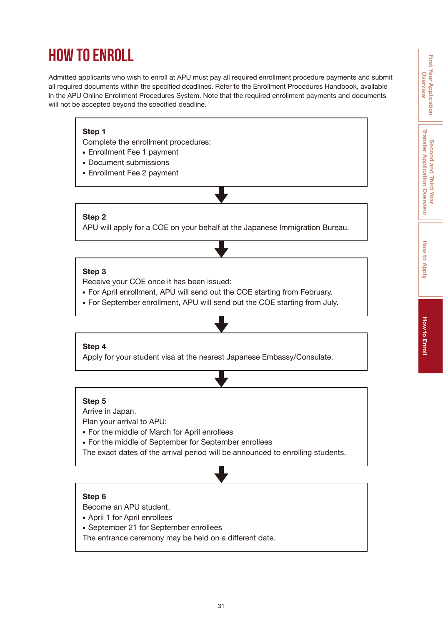## <span id="page-32-0"></span>**HOW TO ENROLL**

Admitted applicants who wish to enroll at APU must pay all required enrollment procedure payments and submit all required documents within the specified deadlines. Refer to the Enrollment Procedures Handbook, available in the APU Online Enrollment Procedures System. Note that the required enrollment payments and documents will not be accepted beyond the specified deadline.

#### **Step 1**

Complete the enrollment procedures:

- Enrollment Fee 1 payment
- Document submissions
- Enrollment Fee 2 payment

#### **Step 2**

APU will apply for a COE on your behalf at the Japanese Immigration Bureau.

#### **Step 3**

Receive your COE once it has been issued:

- For April enrollment, APU will send out the COE starting from February.
- For September enrollment, APU will send out the COE starting from July.

#### **Step 4**

Apply for your student visa at the nearest Japanese Embassy/Consulate.

#### **Step 5**

Arrive in Japan.

Plan your arrival to APU:

- For the middle of March for April enrollees
- For the middle of September for September enrollees
- The exact dates of the arrival period will be announced to enrolling students.

#### **Step 6**

Become an APU student.

- April 1 for April enrollees
- September 21 for September enrollees

The entrance ceremony may be held on a different date.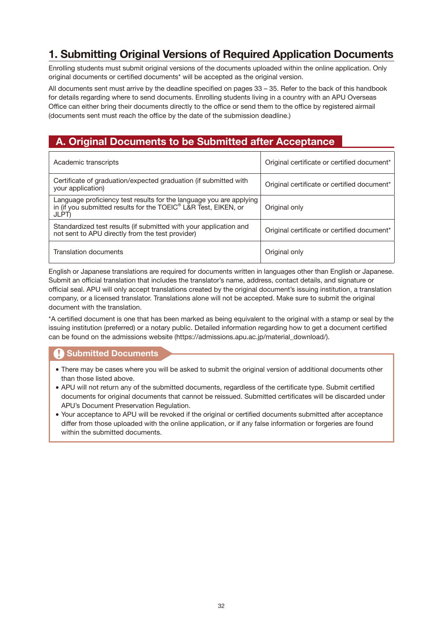#### <span id="page-33-0"></span>**1. Submitting Original Versions of Required Application Documents**

Enrolling students must submit original versions of the documents uploaded within the online application. Only original documents or certified documents\* will be accepted as the original version.

All documents sent must arrive by the deadline specified on [pages 33](#page-34-0) – 35. Refer to the back of this handbook for details regarding where to send documents. Enrolling students living in a country with an APU Overseas Office can either bring their documents directly to the office or send them to the office by registered airmail (documents sent must reach the office by the date of the submission deadline.)

#### **A. Original Documents to be Submitted after Acceptance**

| Academic transcripts                                                                                                                                        | Original certificate or certified document* |
|-------------------------------------------------------------------------------------------------------------------------------------------------------------|---------------------------------------------|
| Certificate of graduation/expected graduation (if submitted with<br>your application)                                                                       | Original certificate or certified document* |
| Language proficiency test results for the language you are applying<br>in (if you submitted results for the TOEIC <sup>®</sup> L&R Test, EIKEN, or<br>JLPT) | Original only                               |
| Standardized test results (if submitted with your application and<br>not sent to APU directly from the test provider)                                       | Original certificate or certified document* |
| Translation documents                                                                                                                                       | Original only                               |

English or Japanese translations are required for documents written in languages other than English or Japanese. Submit an official translation that includes the translator's name, address, contact details, and signature or official seal. APU will only accept translations created by the original document's issuing institution, a translation company, or a licensed translator. Translations alone will not be accepted. Make sure to submit the original document with the translation.

\*A certified document is one that has been marked as being equivalent to the original with a stamp or seal by the issuing institution (preferred) or a notary public. Detailed information regarding how to get a document certified can be found on the admissions website (https://admissions.apu.ac.jp/material\_download/).

#### **Submitted Documents**

- There may be cases where you will be asked to submit the original version of additional documents other than those listed above.
- APU will not return any of the submitted documents, regardless of the certificate type. Submit certified documents for original documents that cannot be reissued. Submitted certificates will be discarded under APU's Document Preservation Regulation.
- Your acceptance to APU will be revoked if the original or certified documents submitted after acceptance differ from those uploaded with the online application, or if any false information or forgeries are found within the submitted documents.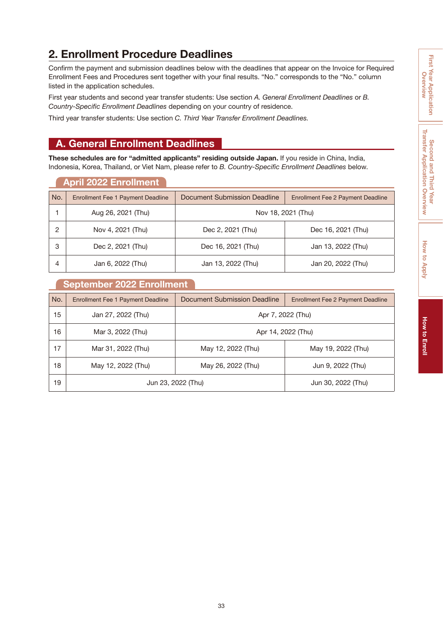### **First Year Application First Year Application**  Overview **Overview**

#### <span id="page-34-0"></span>**2. Enrollment Procedure Deadlines**

Confirm the payment and submission deadlines below with the deadlines that appear on the Invoice for Required Enrollment Fees and Procedures sent together with your final results. "No." corresponds to the "No." column listed in the application schedules.

First year students and second year transfer students: Use section *A. General Enrollment Deadlines* or *B. Country-Specific Enrollment Deadlines* depending on your country of residence.

Third year transfer students: Use section *C. Third Year Transfer Enrollment Deadlines.*

#### **A. General Enrollment Deadlines**

**These schedules are for "admitted applicants" residing outside Japan.** If you reside in China, India, Indonesia, Korea, Thailand, or Viet Nam, please refer to *B. Country-Specific Enrollment Deadlines* below.

|     | <b>April 2022 Enrollment</b>             |                              |                                          |
|-----|------------------------------------------|------------------------------|------------------------------------------|
| No. | <b>Enrollment Fee 1 Payment Deadline</b> | Document Submission Deadline | <b>Enrollment Fee 2 Payment Deadline</b> |
|     | Aug 26, 2021 (Thu)                       |                              | Nov 18, 2021 (Thu)                       |
| 2   | Nov 4, 2021 (Thu)                        | Dec 2, 2021 (Thu)            | Dec 16, 2021 (Thu)                       |
| 3   | Dec 2, 2021 (Thu)                        | Dec 16, 2021 (Thu)           | Jan 13, 2022 (Thu)                       |
| 4   | Jan 6, 2022 (Thu)                        | Jan 13, 2022 (Thu)           | Jan 20, 2022 (Thu)                       |

#### **September 2022 Enrollment**

| No. | <b>Enrollment Fee 1 Payment Deadline</b> | Document Submission Deadline | <b>Enrollment Fee 2 Payment Deadline</b> |
|-----|------------------------------------------|------------------------------|------------------------------------------|
| 15  | Jan 27, 2022 (Thu)                       | Apr 7, 2022 (Thu)            |                                          |
| 16  | Mar 3, 2022 (Thu)                        |                              | Apr 14, 2022 (Thu)                       |
| 17  | Mar 31, 2022 (Thu)                       | May 12, 2022 (Thu)           | May 19, 2022 (Thu)                       |
| 18  | May 12, 2022 (Thu)                       | May 26, 2022 (Thu)           | Jun 9, 2022 (Thu)                        |
| 19  | Jun 23, 2022 (Thu)                       |                              | Jun 30, 2022 (Thu)                       |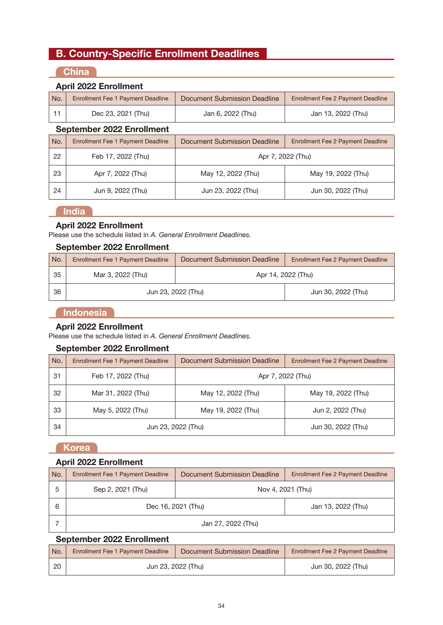#### **B. Country-Specific Enrollment Deadlines**

#### **China**

#### **April 2022 Enrollment**

| No. | <b>Enrollment Fee 1 Payment Deadline</b> | Document Submission Deadline        | <b>Enrollment Fee 2 Payment Deadline</b> |  |  |
|-----|------------------------------------------|-------------------------------------|------------------------------------------|--|--|
| 11  | Dec 23, 2021 (Thu)                       | Jan 6, 2022 (Thu)                   | Jan 13, 2022 (Thu)                       |  |  |
|     | September 2022 Enrollment                |                                     |                                          |  |  |
| No. | <b>Enrollment Fee 1 Payment Deadline</b> | <b>Document Submission Deadline</b> | <b>Enrollment Fee 2 Payment Deadline</b> |  |  |
| 22  | Feb 17, 2022 (Thu)                       | Apr 7, 2022 (Thu)                   |                                          |  |  |
| 23  | Apr 7, 2022 (Thu)                        | May 12, 2022 (Thu)                  | May 19, 2022 (Thu)                       |  |  |
| 24  | Jun 9, 2022 (Thu)                        | Jun 23, 2022 (Thu)                  | Jun 30, 2022 (Thu)                       |  |  |

#### **India**

#### **April 2022 Enrollment**

Please use the schedule listed in *A. General Enrollment Deadlines.*

#### **September 2022 Enrollment**

| No. | <b>Enrollment Fee 1 Payment Deadline</b> | Document Submission Deadline | Enrollment Fee 2 Payment Deadline |
|-----|------------------------------------------|------------------------------|-----------------------------------|
| 35  | Mar 3, 2022 (Thu)                        | Apr 14, 2022 (Thu)           |                                   |
| 36  | Jun 23, 2022 (Thu)                       |                              | Jun 30, 2022 (Thu)                |

#### **Indonesia**

#### **April 2022 Enrollment**

Please use the schedule listed in *A. General Enrollment Deadlines.*

#### **September 2022 Enrollment**

| No. | <b>Enrollment Fee 1 Payment Deadline</b> | Document Submission Deadline | Enrollment Fee 2 Payment Deadline |
|-----|------------------------------------------|------------------------------|-----------------------------------|
| 31  | Feb 17, 2022 (Thu)                       |                              | Apr 7, 2022 (Thu)                 |
| 32  | Mar 31, 2022 (Thu)                       | May 12, 2022 (Thu)           | May 19, 2022 (Thu)                |
| 33  | May 5, 2022 (Thu)                        | May 19, 2022 (Thu)           | Jun 2, 2022 (Thu)                 |
| 34  | Jun 23, 2022 (Thu)                       |                              | Jun 30, 2022 (Thu)                |

#### **Korea**

#### **April 2022 Enrollment**

| No. | Enrollment Fee 1 Payment Deadline | Document Submission Deadline | Enrollment Fee 2 Payment Deadline |
|-----|-----------------------------------|------------------------------|-----------------------------------|
| 5   | Sep 2, 2021 (Thu)                 | Nov 4, 2021 (Thu)            |                                   |
| 6   | Dec 16, 2021 (Thu)                |                              | Jan 13, 2022 (Thu)                |
|     | Jan 27, 2022 (Thu)                |                              |                                   |

#### **September 2022 Enrollment**

| No. | <b>Enrollment Fee 1 Payment Deadline</b> | Document Submission Deadline | Enrollment Fee 2 Payment Deadline |
|-----|------------------------------------------|------------------------------|-----------------------------------|
| 20  | Jun 23, 2022 (Thu)                       |                              | Jun 30, 2022 (Thu)                |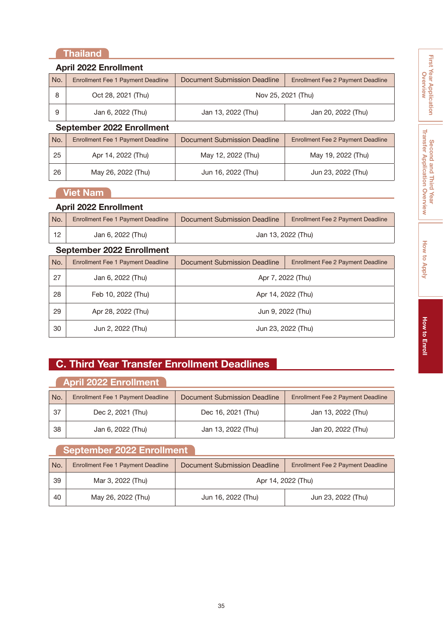#### **Thailand**

|     | <b>April 2022 Enrollment</b>             |                              |                                          |  |
|-----|------------------------------------------|------------------------------|------------------------------------------|--|
| No. | <b>Enrollment Fee 1 Payment Deadline</b> | Document Submission Deadline | <b>Enrollment Fee 2 Payment Deadline</b> |  |
| 8   | Oct 28, 2021 (Thu)                       | Nov 25, 2021 (Thu)           |                                          |  |
| 9   | Jan 6, 2022 (Thu)                        | Jan 13, 2022 (Thu)           | Jan 20, 2022 (Thu)                       |  |
|     | <b>September 2022 Enrollment</b>         |                              |                                          |  |
| No. | <b>Enrollment Fee 1 Payment Deadline</b> | Document Submission Deadline | <b>Enrollment Fee 2 Payment Deadline</b> |  |
| 25  | Apr 14, 2022 (Thu)                       | May 12, 2022 (Thu)           | May 19, 2022 (Thu)                       |  |
| 26  | May 26, 2022 (Thu)                       | Jun 16, 2022 (Thu)           | Jun 23, 2022 (Thu)                       |  |
|     | <b>Viet Nam</b>                          |                              |                                          |  |
|     |                                          |                              |                                          |  |

#### **April 2022 Enrollment**

| No. | Enrollment Fee 1 Payment Deadline | Document Submission Deadline | Enrollment Fee 2 Payment Deadline |
|-----|-----------------------------------|------------------------------|-----------------------------------|
|     | Jan 6, 2022 (Thu)                 |                              | Jan 13, 2022 (Thu)                |

#### **September 2022 Enrollment**

| No. | <b>Enrollment Fee 1 Payment Deadline</b> | Document Submission Deadline | <b>Enrollment Fee 2 Payment Deadline</b> |  |
|-----|------------------------------------------|------------------------------|------------------------------------------|--|
| 27  | Jan 6, 2022 (Thu)                        | Apr 7, 2022 (Thu)            |                                          |  |
| 28  | Feb 10, 2022 (Thu)                       | Apr 14, 2022 (Thu)           |                                          |  |
| 29  | Apr 28, 2022 (Thu)                       | Jun 9, 2022 (Thu)            |                                          |  |
| 30  | Jun 2, 2022 (Thu)                        | Jun 23, 2022 (Thu)           |                                          |  |

#### **C. Third Year Transfer Enrollment Deadlines**

#### **April 2022 Enrollment**

| No. | <b>Enrollment Fee 1 Payment Deadline</b> | Document Submission Deadline | <b>Enrollment Fee 2 Payment Deadline</b> |
|-----|------------------------------------------|------------------------------|------------------------------------------|
| -37 | Dec 2, 2021 (Thu)                        | Dec 16, 2021 (Thu)           | Jan 13, 2022 (Thu)                       |
| 38  | Jan 6, 2022 (Thu)                        | Jan 13, 2022 (Thu)           | Jan 20, 2022 (Thu)                       |

#### **September 2022 Enrollment**

| No. | <b>Enrollment Fee 1 Payment Deadline</b> | Document Submission Deadline | Enrollment Fee 2 Payment Deadline |  |  |
|-----|------------------------------------------|------------------------------|-----------------------------------|--|--|
| 39  | Mar 3, 2022 (Thu)                        | Apr 14, 2022 (Thu)           |                                   |  |  |
| 40  | May 26, 2022 (Thu)                       | Jun 16, 2022 (Thu)           | Jun 23, 2022 (Thu)                |  |  |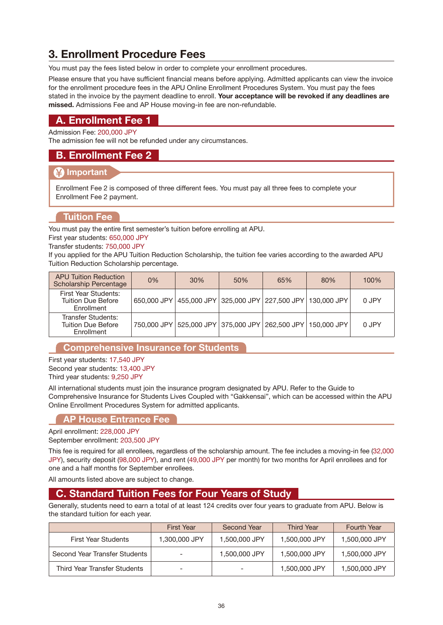#### <span id="page-37-0"></span>**3. Enrollment Procedure Fees**

You must pay the fees listed below in order to complete your enrollment procedures.

Please ensure that you have sufficient financial means before applying. Admitted applicants can view the invoice for the enrollment procedure fees in the APU Online Enrollment Procedures System. You must pay the fees stated in the invoice by the payment deadline to enroll. **Your acceptance will be revoked if any deadlines are missed.** Admissions Fee and AP House moving-in fee are non-refundable.

#### **A. Enrollment Fee 1**

Admission Fee: 200,000 JPY

The admission fee will not be refunded under any circumstances.

#### **B. Enrollment Fee 2**

#### **Important**

Enrollment Fee 2 is composed of three different fees. You must pay all three fees to complete your Enrollment Fee 2 payment.

#### **Tuition Fee**

You must pay the entire first semester's tuition before enrolling at APU.

First year students: 650,000 JPY

Transfer students: 750,000 JPY

If you applied for the APU Tuition Reduction Scholarship, the tuition fee varies according to the awarded APU Tuition Reduction Scholarship percentage.

| <b>APU Tuition Reduction</b><br><b>Scholarship Percentage</b>   | 0% | 30% | 50%                                                         | 65% | 80% | 100%  |
|-----------------------------------------------------------------|----|-----|-------------------------------------------------------------|-----|-----|-------|
| First Year Students:<br><b>Tuition Due Before</b><br>Enrollment |    |     | 650,000 JPY 455,000 JPY 325,000 JPY 227,500 JPY 130,000 JPY |     |     | 0 JPY |
| Transfer Students:<br>Tuition Due Before<br>Enrollment          |    |     | 750,000 JPY 525,000 JPY 375,000 JPY 262,500 JPY 150,000 JPY |     |     | 0 JPY |

#### **Comprehensive Insurance for Students**

First year students: 17,540 JPY Second year students: 13,400 JPY Third year students: 9,250 JPY

All international students must join the insurance program designated by APU. Refer to the Guide to Comprehensive Insurance for Students Lives Coupled with "Gakkensai", which can be accessed within the APU Online Enrollment Procedures System for admitted applicants.

#### **AP House Entrance Fee**

April enrollment: 228,000 JPY

September enrollment: 203,500 JPY

This fee is required for all enrollees, regardless of the scholarship amount. The fee includes a moving-in fee (32,000 JPY), security deposit (98,000 JPY), and rent (49,000 JPY per month) for two months for April enrollees and for one and a half months for September enrollees.

All amounts listed above are subject to change.

#### **C. Standard Tuition Fees for Four Years of Study**

Generally, students need to earn a total of at least 124 credits over four years to graduate from APU. Below is the standard tuition for each year.

|                               | <b>First Year</b> | Second Year   | <b>Third Year</b> | Fourth Year   |
|-------------------------------|-------------------|---------------|-------------------|---------------|
| <b>First Year Students</b>    | 1,300,000 JPY     | 1,500,000 JPY | 1,500,000 JPY     | 1,500,000 JPY |
| Second Year Transfer Students |                   | 1,500,000 JPY | 1,500,000 JPY     | 1,500,000 JPY |
| Third Year Transfer Students  |                   |               | 1,500,000 JPY     | 1,500,000 JPY |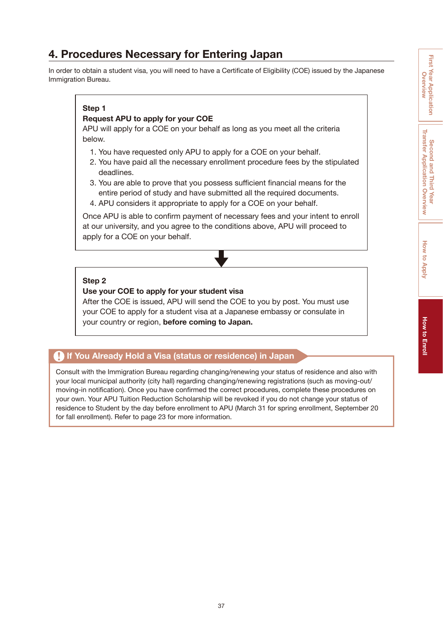#### <span id="page-38-0"></span>**4. Procedures Necessary for Entering Japan**

In order to obtain a student visa, you will need to have a Certificate of Eligibility (COE) issued by the Japanese Immigration Bureau.

#### **Step 1**

#### **Request APU to apply for your COE**

APU will apply for a COE on your behalf as long as you meet all the criteria below.

- 1. You have requested only APU to apply for a COE on your behalf.
- 2. You have paid all the necessary enrollment procedure fees by the stipulated deadlines.
- 3. You are able to prove that you possess sufficient financial means for the entire period of study and have submitted all the required documents.
- 4. APU considers it appropriate to apply for a COE on your behalf.

Once APU is able to confirm payment of necessary fees and your intent to enroll at our university, and you agree to the conditions above, APU will proceed to apply for a COE on your behalf.

#### **Step 2**

#### **Use your COE to apply for your student visa**

After the COE is issued, APU will send the COE to you by post. You must use your COE to apply for a student visa at a Japanese embassy or consulate in your country or region, **before coming to Japan.**

#### **<b>A** If You Already Hold a Visa (status or residence) in Japan

Consult with the Immigration Bureau regarding changing/renewing your status of residence and also with your local municipal authority (city hall) regarding changing/renewing registrations (such as moving-out/ moving-in notification). Once you have confirmed the correct procedures, complete these procedures on your own. Your APU Tuition Reduction Scholarship will be revoked if you do not change your status of residence to Student by the day before enrollment to APU (March 31 for spring enrollment, September 20 for fall enrollment). Refer to [page 23](#page-24-0) for more information.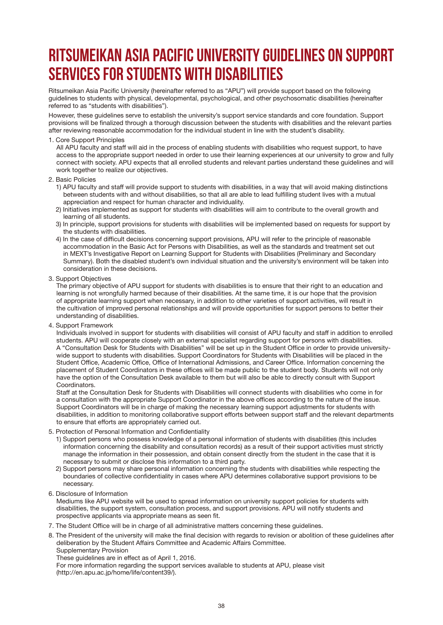## <span id="page-39-0"></span>**Ritsumeikan Asia Pacific University Guidelines on Support Services for Students with Disabilities**

Ritsumeikan Asia Pacific University (hereinafter referred to as "APU") will provide support based on the following guidelines to students with physical, developmental, psychological, and other psychosomatic disabilities (hereinafter referred to as "students with disabilities").

However, these guidelines serve to establish the university's support service standards and core foundation. Support provisions will be finalized through a thorough discussion between the students with disabilities and the relevant parties after reviewing reasonable accommodation for the individual student in line with the student's disability.

#### 1. Core Support Principles

All APU faculty and staff will aid in the process of enabling students with disabilities who request support, to have access to the appropriate support needed in order to use their learning experiences at our university to grow and fully connect with society. APU expects that all enrolled students and relevant parties understand these guidelines and will work together to realize our objectives.

- 2. Basic Policies
	- 1) APU faculty and staff will provide support to students with disabilities, in a way that will avoid making distinctions between students with and without disabilities, so that all are able to lead fulfilling student lives with a mutual appreciation and respect for human character and individuality.
	- 2) Initiatives implemented as support for students with disabilities will aim to contribute to the overall growth and learning of all students.
	- 3) In principle, support provisions for students with disabilities will be implemented based on requests for support by the students with disabilities.
	- 4) In the case of difficult decisions concerning support provisions, APU will refer to the principle of reasonable accommodation in the Basic Act for Persons with Disabilities, as well as the standards and treatment set out in MEXT's Investigative Report on Learning Support for Students with Disabilities (Preliminary and Secondary Summary). Both the disabled student's own individual situation and the university's environment will be taken into consideration in these decisions.
- 3. Support Objectives

The primary objective of APU support for students with disabilities is to ensure that their right to an education and learning is not wrongfully harmed because of their disabilities. At the same time, it is our hope that the provision of appropriate learning support when necessary, in addition to other varieties of support activities, will result in the cultivation of improved personal relationships and will provide opportunities for support persons to better their understanding of disabilities.

4. Support Framework

Individuals involved in support for students with disabilities will consist of APU faculty and staff in addition to enrolled students. APU will cooperate closely with an external specialist regarding support for persons with disabilities. A "Consultation Desk for Students with Disabilities" will be set up in the Student Office in order to provide universitywide support to students with disabilities. Support Coordinators for Students with Disabilities will be placed in the Student Office, Academic Office, Office of International Admissions, and Career Office. Information concerning the placement of Student Coordinators in these offices will be made public to the student body. Students will not only have the option of the Consultation Desk available to them but will also be able to directly consult with Support **Coordinators** 

Staff at the Consultation Desk for Students with Disabilities will connect students with disabilities who come in for a consultation with the appropriate Support Coordinator in the above offices according to the nature of the issue. Support Coordinators will be in charge of making the necessary learning support adjustments for students with disabilities, in addition to monitoring collaborative support efforts between support staff and the relevant departments to ensure that efforts are appropriately carried out.

- 5. Protection of Personal Information and Confidentiality
	- 1) Support persons who possess knowledge of a personal information of students with disabilities (this includes information concerning the disability and consultation records) as a result of their support activities must strictly manage the information in their possession, and obtain consent directly from the student in the case that it is necessary to submit or disclose this information to a third party.
	- 2) Support persons may share personal information concerning the students with disabilities while respecting the boundaries of collective confidentiality in cases where APU determines collaborative support provisions to be necessary.
- 6. Disclosure of Information

Mediums like APU website will be used to spread information on university support policies for students with disabilities, the support system, consultation process, and support provisions. APU will notify students and prospective applicants via appropriate means as seen fit.

- 7. The Student Office will be in charge of all administrative matters concerning these guidelines.
- 8. The President of the university will make the final decision with regards to revision or abolition of these guidelines after deliberation by the Student Affairs Committee and Academic Affairs Committee. Supplementary Provision

These guidelines are in effect as of April 1, 2016.

For more information regarding the support services available to students at APU, please visit (http://en.apu.ac.jp/home/life/content39/).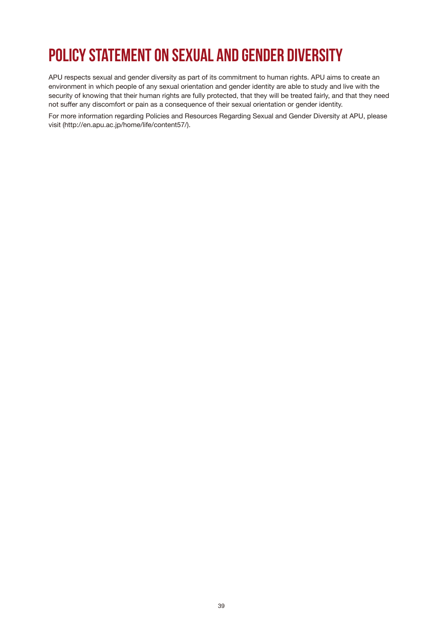## <span id="page-40-0"></span>**Policy Statement on Sexual and Gender Diversity**

APU respects sexual and gender diversity as part of its commitment to human rights. APU aims to create an environment in which people of any sexual orientation and gender identity are able to study and live with the security of knowing that their human rights are fully protected, that they will be treated fairly, and that they need not suffer any discomfort or pain as a consequence of their sexual orientation or gender identity.

For more information regarding Policies and Resources Regarding Sexual and Gender Diversity at APU, please visit (http://en.apu.ac.jp/home/life/content57/).